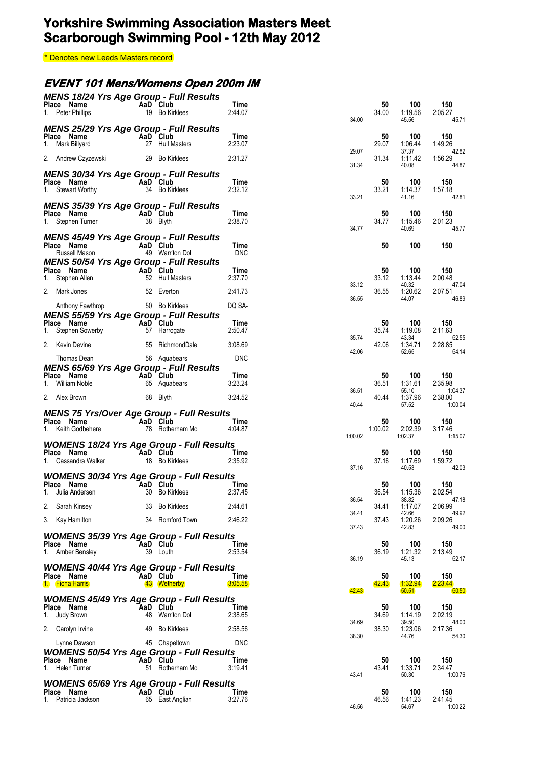\* Denotes new Leeds Masters record

### **EVENT 101 Mens/Womens Open 200m IM**

| <b>MENS 18/24 Yrs Age Group - Full Results</b><br>Place Name<br>1. Peter Phillips                                               | AaD Club | 19 Bo Kirklees                               | Time<br>2:44.07               | 34.00            | 50<br>34.00   | 100<br>1:19.56<br>45.56            | 150<br>2:05.27<br>45.71              |
|---------------------------------------------------------------------------------------------------------------------------------|----------|----------------------------------------------|-------------------------------|------------------|---------------|------------------------------------|--------------------------------------|
| <b>MENS 25/29 Yrs Age Group - Full Results</b><br>Place Name<br>1. Mark Billyard                                                | AaD Club | 27 Hull Masters                              | Time<br>2:23.07               |                  | 50<br>29.07   | 100<br>1:06.44                     | 150<br>1:49.26                       |
| 2. Andrew Czyzewski                                                                                                             |          | 29 Bo Kirklees                               | 2:31.27                       | 29.07<br>31.34   | 31.34         | 37.37<br>1:11.42<br>40.08          | 42.82<br>1:56.29<br>44.87            |
| <b>MENS 30/34 Yrs Age Group - Full Results</b><br>Place Name<br>1. Stewart Worthy                                               | AaD Club | 34 Bo Kirklees                               | Time<br>2:32.12               | 33.21            | 50<br>33.21   | 100<br>1:14.37<br>41.16            | 150<br>1:57.18<br>42.81              |
| <b>MENS 35/39 Yrs Age Group - Full Results</b><br>Place Name<br>1. Stephen Turner                                               | AaD Club | 38 Blyth                                     | Time<br>2:38.70               | 34.77            | 50<br>34.77   | 100<br>1:15.46<br>40.69            | 150<br>2:01.23<br>45.77              |
| <b>MENS 45/49 Yrs Age Group - Full Results</b><br>Place Name<br>Russell Mason<br><b>MENS 50/54 Yrs Age Group - Full Results</b> |          | AaD Club<br>49 Warr'ton Dol                  | Time<br><b>DNC</b>            |                  | 50            | 100                                | 150                                  |
| Place Name<br>1. Stephen Allen                                                                                                  | AaD Club | 52 Hull Masters                              | Time<br>2:37.70               |                  | 50<br>33.12   | 100<br>1:13.44                     | 150<br>2:00.48                       |
| 2. Mark Jones                                                                                                                   |          | 52 Everton                                   | 2:41.73                       | 33.12            | 36.55         | 40.32<br>1:20.62                   | 47.04<br>2:07.51                     |
| Anthony Fawthrop<br><b>MENS 55/59 Yrs Age Group - Full Results</b>                                                              |          | 50 Bo Kirklees                               | DQ SA-                        | 36.55            |               | 44.07                              | 46.89                                |
| Place Name<br>1. Stephen Sowerby                                                                                                | AaD Club | 57 Harrogate                                 | Time<br>2:50.47               |                  | 50<br>35.74   | 100<br>1:19.08                     | 150<br>2:11.63                       |
| 2. Kevin Devine                                                                                                                 |          | 55 RichmondDale                              | 3:08.69                       | 35.74            | 42.06         | 43.34<br>1:34.71                   | 52.55<br>2:28.85                     |
| Thomas Dean                                                                                                                     |          | 56 Aquabears                                 | <b>DNC</b>                    | 42.06            |               | 52.65                              | 54.14                                |
| <b>MENS 65/69 Yrs Age Group - Full Results</b><br>Place Name<br>William Noble<br>1.                                             | AaD Club | 65 Aquabears                                 | Time<br>3:23.24               |                  | 50<br>36.51   | 100<br>1:31.61                     | 150<br>2:35.98                       |
| 2. Alex Brown                                                                                                                   |          | 68 Blyth                                     | 3:24.52                       | 36.51            | 40.44         | 55.10<br>1:37.96                   | 1:04.37<br>2:38.00                   |
| <b>MENS 75 Yrs/Over Age Group - Full Results</b><br>Place Name<br>1. Keith Godbehere                                            | AaD Club | 78 Rotherham Mo                              | Time<br>4:04.87               | 40.44            | 50<br>1:00.02 | 57.52<br>100<br>2:02.39            | 1:00.04<br>150<br>3:17.46            |
| <b>WOMENS 18/24 Yrs Age Group - Full Results</b><br>Place Name<br>1. Cassandra Walker                                           | AaD Club | 18 Bo Kirklees                               | Time<br>2:35.92               | 1:00.02<br>37.16 | 50<br>37.16   | 1:02.37<br>100<br>1:17.69<br>40.53 | 1:15.07<br>150<br>1:59.72<br>42.03   |
| <b>WOMENS 30/34 Yrs Age Group - Full Results</b><br>Place Name<br>1. Julia Andersen                                             |          | AaD Club<br>30 Bo Kirklees                   | Time<br>2:37.45               |                  | 50<br>36.54   | 100<br>1:15.36                     | 150<br>2:02.54                       |
| 2. Sarah Kinsey                                                                                                                 |          | 33 Bo Kirklees                               | 2:44.61                       | 36.54<br>34.41   | 34.41         | 38.82<br>1:17.07<br>42.66          | 47.18<br>2:06.99<br>49.92            |
| 3. Kay Hamilton                                                                                                                 |          | 34 Romford Town                              | 2:46.22                       | 37.43            | 37.43         | 1:20.26<br>42.83                   | 2:09.26<br>49.00                     |
| <b>WOMENS 35/39 Yrs Age Group - Full Results</b><br>Place Name<br>1. Amber Bensley                                              |          | AaD Club<br>39 Louth                         | Time<br>2:53.54               | 36.19            | 50<br>36.19   | 100<br>1:21.32<br>45.13            | 150<br>2:13.49<br>52.17              |
| <b>WOMENS 40/44 Yrs Age Group - Full Results</b><br>Place Name<br>1. Fiona Harris                                               |          | AaD Club<br>43 Wetherby                      | Time<br>3:05.58               |                  | 50<br>42.43   | 100<br>1:32.94                     | 150<br>2:23.44                       |
| <b>WOMENS 45/49 Yrs Age Group - Full Results</b><br>Place Name<br>Judy Brown<br>1.                                              |          | AaD Club<br>48 Warr'ton Dol                  | Time<br>2:38.65               | 42.43            | 50<br>34.69   | 50.51<br>100<br>1:14.19            | 50.50<br>150<br>2:02.19              |
| 2. Carolyn Irvine                                                                                                               | 49       | <b>Bo Kirklees</b>                           | 2:58.56                       | 34.69            | 38.30         | 39.50<br>1:23.06                   | 48.00<br>2:17.36                     |
| Lynne Dawson<br><b>WOMENS 50/54 Yrs Age Group - Full Results</b><br>Place Name<br>1.<br>Helen Turner                            |          | 45 Chapeltown<br>AaD Club<br>51 Rotherham Mo | <b>DNC</b><br>Time<br>3:19.41 | 38.30            | 50<br>43.41   | 44.76<br>100<br>1:33.71            | 54.30<br>150<br>2:34.47              |
| <b>WOMENS 65/69 Yrs Age Group - Full Results</b><br>Place Name<br>Patricia Jackson                                              |          | AaD Club<br>65 East Anglian                  | Time<br>3:27.76               | 43.41<br>46.56   | 50<br>46.56   | 50.30<br>100<br>1:41.23<br>54.67   | 1:00.76<br>150<br>2:41.45<br>1:00.22 |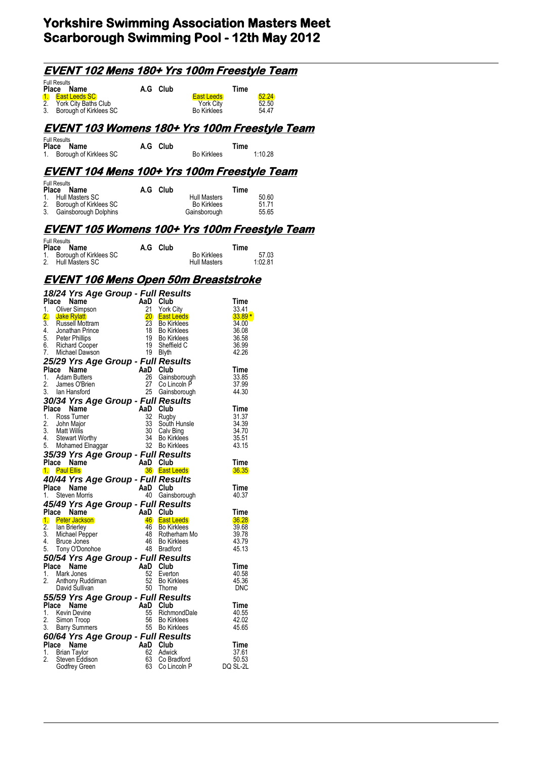| <u>EVENT 102 Mens 180+ Yrs 100m Freestyle Team</u>                                                                                                                                                                                                                                                                                                                                                                                                                                                                                                                                                                                |                                                                                                            |                                                                                                                                                                                                                                                                                                      |                                                      |                                                                                                                                                                                 |                         |
|-----------------------------------------------------------------------------------------------------------------------------------------------------------------------------------------------------------------------------------------------------------------------------------------------------------------------------------------------------------------------------------------------------------------------------------------------------------------------------------------------------------------------------------------------------------------------------------------------------------------------------------|------------------------------------------------------------------------------------------------------------|------------------------------------------------------------------------------------------------------------------------------------------------------------------------------------------------------------------------------------------------------------------------------------------------------|------------------------------------------------------|---------------------------------------------------------------------------------------------------------------------------------------------------------------------------------|-------------------------|
| <b>Full Results</b><br>Place Name<br>1.<br><b>East Leeds SC</b><br>2.<br>York City Baths Club<br>3.<br>Borough of Kirklees SC                                                                                                                                                                                                                                                                                                                                                                                                                                                                                                     | A.G Club                                                                                                   |                                                                                                                                                                                                                                                                                                      | <b>East Leeds</b><br><b>York City</b><br>Bo Kirklees | Time                                                                                                                                                                            | 52.24<br>52.50<br>54.47 |
| <u>EVENT 103 Womens 180+ Yrs 100m Freestyle Team</u>                                                                                                                                                                                                                                                                                                                                                                                                                                                                                                                                                                              |                                                                                                            |                                                                                                                                                                                                                                                                                                      |                                                      |                                                                                                                                                                                 |                         |
| <b>Full Results</b><br>Place<br>Name<br>Borough of Kirklees SC<br>1.                                                                                                                                                                                                                                                                                                                                                                                                                                                                                                                                                              | A.G Club                                                                                                   |                                                                                                                                                                                                                                                                                                      | Bo Kirklees                                          | Time                                                                                                                                                                            | 1:10.28                 |
| <u>EVENT 104 Mens 100+ Yrs 100m Freestyle Team</u>                                                                                                                                                                                                                                                                                                                                                                                                                                                                                                                                                                                |                                                                                                            |                                                                                                                                                                                                                                                                                                      |                                                      |                                                                                                                                                                                 |                         |
| <b>Full Results</b><br>Place<br>Name<br>1.<br><b>Hull Masters SC</b><br>2.<br>Borough of Kirklees SC<br>3.<br>Gainsborough Dolphins                                                                                                                                                                                                                                                                                                                                                                                                                                                                                               | A.G Club                                                                                                   |                                                                                                                                                                                                                                                                                                      | Hull Masters<br><b>Bo Kirklees</b><br>Gainsborough   | Time                                                                                                                                                                            | 50.60<br>51.71<br>55.65 |
| <u>EVENT 105 Womens 100+ Yrs 100m Freestyle Team</u>                                                                                                                                                                                                                                                                                                                                                                                                                                                                                                                                                                              |                                                                                                            |                                                                                                                                                                                                                                                                                                      |                                                      |                                                                                                                                                                                 |                         |
| <b>Full Results</b><br>Place<br>Name<br>Borough of Kirklees SC<br>1.<br>2.<br><b>Hull Masters SC</b>                                                                                                                                                                                                                                                                                                                                                                                                                                                                                                                              | A.G Club                                                                                                   |                                                                                                                                                                                                                                                                                                      | <b>Bo Kirklees</b><br>Hull Masters                   | Time                                                                                                                                                                            | 57.03<br>1:02.81        |
| <u>EVENT 106 Mens Open 50m Breaststroke</u>                                                                                                                                                                                                                                                                                                                                                                                                                                                                                                                                                                                       |                                                                                                            |                                                                                                                                                                                                                                                                                                      |                                                      |                                                                                                                                                                                 |                         |
| 18/24 Yrs Age Group - Full Results<br>Place Name<br>Oliver Simpson<br>1.<br>2.<br><b>Jake Rylatt</b><br>$\overline{3}$ .<br>Russell Mottram<br>4.<br>Jonathan Prince<br>5.<br>Peter Phillips<br>6.<br><b>Richard Cooper</b><br>7.<br>Michael Dawson<br>25/29 Yrs Age Group - Full Results<br>Place Name<br>1.<br><b>Adam Butters</b><br>2.<br>James O'Brien<br>3.<br>lan Hansford<br>30/34 Yrs Age Group - Full Results<br>Place Name<br>1.<br>Ross Turner<br>2.<br>John Major<br>3.<br>Matt Willis<br><b>Stewart Worthy</b><br>4.<br>5.<br>Mohamed Elnaggar<br>35/39 Yrs Age Group - Full Results<br>Place Name<br>1. Paul Ellis | AaD<br>21<br>23<br>18<br>19<br>19<br>19<br>AaD Club<br>26<br>27<br>AaD<br>32<br>33<br>30<br>34<br>AaD Club | Club<br><b>York City</b><br>20 East Leeds<br><b>Bo Kirklees</b><br><b>Bo Kirklees</b><br><b>Bo Kirklees</b><br>Sheffield C<br>Blyth<br>Gainsborough<br>Co Lincoln P<br>25 Gainsborough<br>Club<br>Rugby<br>South Hunsle<br>Calv Bing<br><b>Bo Kirklees</b><br>32 Bo Kirklees<br><b>36</b> East Leeds |                                                      | Time<br>33.41<br>$33.89*$<br>34.00<br>36.08<br>36.58<br>36.99<br>42.26<br>Time<br>33.85<br>37.99<br>44.30<br>Time<br>31.37<br>34.39<br>34.70<br>35.51<br>43.15<br>Time<br>36.35 |                         |
| 40/44 Yrs Age Group - Full Results<br>Place Name<br><b>Steven Morris</b><br>1.<br>45/49 Yrs Age Group - Full Results<br>Place Name                                                                                                                                                                                                                                                                                                                                                                                                                                                                                                | AaD Club<br>AaD                                                                                            | 40 Gainsborough<br>Club                                                                                                                                                                                                                                                                              |                                                      | Time<br>40.37<br>Time                                                                                                                                                           |                         |
| $\mathbf{1}$<br><b>Peter Jackson</b><br>2.<br>lan Brierley<br>3.<br>Michael Pepper<br>4.<br>Bruce Jones<br>5.<br>Tony O'Donohoe                                                                                                                                                                                                                                                                                                                                                                                                                                                                                                   | 48<br>46<br>48                                                                                             | 46 East Leeds<br>46 Bo Kirklees<br>Rotherham Mo<br><b>Bo Kirklees</b><br><b>Bradford</b>                                                                                                                                                                                                             |                                                      | 36.28<br>39.68<br>39.78<br>43.79<br>45.13                                                                                                                                       |                         |
| 50/54 Yrs Age Group - Full Results<br>Place Name<br>Mark Jones<br>1.<br>2.<br>Anthony Ruddiman<br>David Sullivan                                                                                                                                                                                                                                                                                                                                                                                                                                                                                                                  | AaD Club<br>52<br>50                                                                                       | Everton<br>52 Bo Kirklees<br>Thorne                                                                                                                                                                                                                                                                  |                                                      | Time<br>40.58<br>45.36<br><b>DNC</b>                                                                                                                                            |                         |
| 55/59 Yrs Age Group - Full Results<br>Place Name<br><b>Kevin Devine</b><br>1.<br>2.<br>Simon Troop<br>3.<br><b>Barry Summers</b>                                                                                                                                                                                                                                                                                                                                                                                                                                                                                                  | AaD<br>55<br>56                                                                                            | Club<br>RichmondDale<br><b>Bo Kirklees</b><br>55 Bo Kirklees                                                                                                                                                                                                                                         |                                                      | Time<br>40.55<br>42.02<br>45.65                                                                                                                                                 |                         |
| 60/64 Yrs Age Group - Full Results<br>Place Name<br><b>Brian Taylor</b><br>1.<br>2.<br>Steven Eddison<br>Godfrey Green                                                                                                                                                                                                                                                                                                                                                                                                                                                                                                            | AaD Club                                                                                                   | 62 Adwick<br>63 Co Bradford<br>63 Co Lincoln P                                                                                                                                                                                                                                                       |                                                      | Time<br>37.61<br>50.53<br>DQ SL-2L                                                                                                                                              |                         |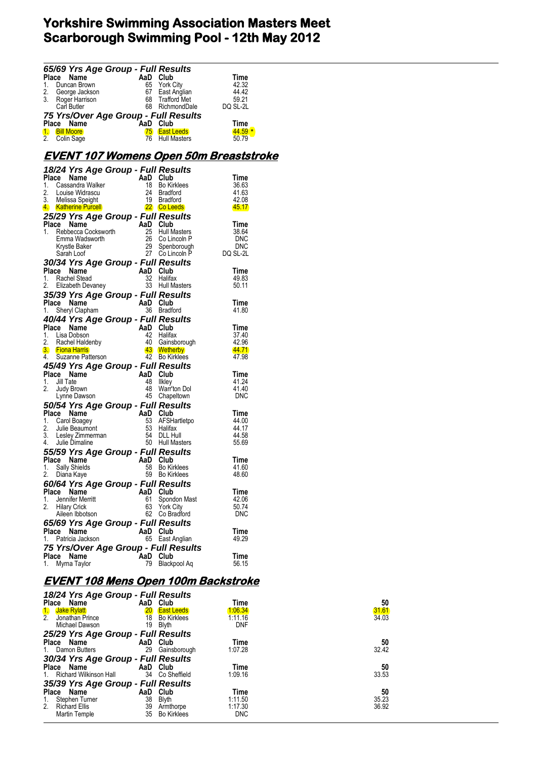|          | <b>65/69 Yrs Age Group - Full Results</b><br>Place Name AaD Club Time<br>1. Duncan Brown 65 York City 42.32<br>2. George Jackson 67 East Anglian 44.42<br>3. Roger Harrison 68 Trafford Met 59.21<br>Carl Butler 68 RichmondDale DQ SL-2L<br><b>7</b>               |          |                                  |                                               |
|----------|---------------------------------------------------------------------------------------------------------------------------------------------------------------------------------------------------------------------------------------------------------------------|----------|----------------------------------|-----------------------------------------------|
|          |                                                                                                                                                                                                                                                                     |          |                                  |                                               |
|          |                                                                                                                                                                                                                                                                     |          |                                  |                                               |
|          |                                                                                                                                                                                                                                                                     |          |                                  |                                               |
|          |                                                                                                                                                                                                                                                                     |          |                                  |                                               |
|          |                                                                                                                                                                                                                                                                     |          |                                  |                                               |
|          |                                                                                                                                                                                                                                                                     |          |                                  |                                               |
|          |                                                                                                                                                                                                                                                                     |          |                                  |                                               |
|          |                                                                                                                                                                                                                                                                     |          |                                  |                                               |
|          |                                                                                                                                                                                                                                                                     |          |                                  |                                               |
|          |                                                                                                                                                                                                                                                                     |          |                                  | <u>EVENT 107 Womens Open 50m Breaststroke</u> |
|          | 18/24 Yrs Age Group - Full Results<br>18/24 Yrs Age Group - Full Results<br>1. Cassandra Walker<br>1. Cassandra Walker<br>1. Sassandra Walker<br>2. Louise Windrack and the Burdon<br>3. Melissa Speight<br>4. Sale Speeds<br>4. Sale Speeds<br>                    |          |                                  |                                               |
|          |                                                                                                                                                                                                                                                                     |          |                                  |                                               |
|          |                                                                                                                                                                                                                                                                     |          |                                  |                                               |
|          |                                                                                                                                                                                                                                                                     |          |                                  |                                               |
|          |                                                                                                                                                                                                                                                                     |          |                                  |                                               |
|          |                                                                                                                                                                                                                                                                     |          |                                  |                                               |
|          |                                                                                                                                                                                                                                                                     |          |                                  |                                               |
|          |                                                                                                                                                                                                                                                                     |          |                                  |                                               |
|          |                                                                                                                                                                                                                                                                     |          |                                  |                                               |
|          |                                                                                                                                                                                                                                                                     |          |                                  |                                               |
|          |                                                                                                                                                                                                                                                                     |          |                                  |                                               |
|          |                                                                                                                                                                                                                                                                     |          |                                  |                                               |
|          | <b>30/34 Yrs Age Group - Full Results<br/> Place Name AaD Club<br/> 1. Rachel Stead 32 Halifax<br/> 2. Elizabeth Devaney 33 Hull Masters<br/> 2. Elizabeth Devaney 33 Hull Masters</b>                                                                              |          |                                  |                                               |
|          |                                                                                                                                                                                                                                                                     |          |                                  | Time                                          |
|          |                                                                                                                                                                                                                                                                     |          |                                  | 49.83                                         |
|          | 2. Elizabeth Devaney<br><b>35/39 Yrs Age Group - Full Results</b><br>AaD Club                                                                                                                                                                                       |          |                                  | 50.11                                         |
|          |                                                                                                                                                                                                                                                                     |          |                                  |                                               |
|          | Place Name<br>1. Sheryl Clapham<br>1. Sheryl Clapham<br>1. Sheryl Clapham<br>1. Sheryl Clapham<br>1. Sheryl Clapham                                                                                                                                                 |          |                                  | Time                                          |
|          |                                                                                                                                                                                                                                                                     |          |                                  | 41.80                                         |
|          | <b>40/44 Yrs Age Group - Full Results<br/> Place Name AaD Club Time<br/> 1. Lisa Dobson 42 Halifax 37.40<br/> 2. Rachel Haldenby 40 Gainsborough 42.96<br/> 3. Fiona Harris 43 Bo Kirkles<br/> 43 Wetherby 42.96<br/> 43 Wetherby 42.96<br/> 45 Bo Kirkles<br/></b> |          |                                  |                                               |
|          |                                                                                                                                                                                                                                                                     |          |                                  |                                               |
|          |                                                                                                                                                                                                                                                                     |          |                                  |                                               |
|          |                                                                                                                                                                                                                                                                     |          |                                  |                                               |
|          |                                                                                                                                                                                                                                                                     |          |                                  |                                               |
|          |                                                                                                                                                                                                                                                                     |          |                                  |                                               |
|          | <b>45/49 Yrs Age Group - Full Results<br/> Place Name AaD Club<br/> 1. Jill Tate 48 Ilkley<br/> 2. Judy Brown 48 Warr'ton Dol<br/> Lynne Dawson 45 Chapeltown</b>                                                                                                   |          |                                  | Time                                          |
|          |                                                                                                                                                                                                                                                                     |          |                                  | 41.24                                         |
|          |                                                                                                                                                                                                                                                                     |          |                                  | 41.40                                         |
|          |                                                                                                                                                                                                                                                                     |          |                                  | <b>DNC</b>                                    |
|          | Lymne Dawson<br>50/54 Yrs Age Group - Full Results<br>AaD Club                                                                                                                                                                                                      |          |                                  |                                               |
|          |                                                                                                                                                                                                                                                                     |          |                                  |                                               |
|          |                                                                                                                                                                                                                                                                     |          |                                  | 44.00                                         |
|          |                                                                                                                                                                                                                                                                     |          |                                  | 44.17                                         |
|          |                                                                                                                                                                                                                                                                     |          |                                  | 44.58                                         |
|          | 50/54 Yrs Age Group - and Club<br>1. Carol Boagey<br>1. Carol Boagey<br>2. Julie Beaumont<br>3. Lesley Zimmerman<br>4. Julie Dimaline<br>5. Hull Masters<br>5. Hull Masters<br>5. Hull Masters<br>5. Hull Masters<br>5. Hull Masters<br>7. Caroline<br>             |          |                                  | 55.69                                         |
|          | <b>55/59 Yrs Age Group - Full Results<br/>Place Name AaD Club<br/>1 Sally Shields ARE Bo Kirklops</b>                                                                                                                                                               |          |                                  |                                               |
|          |                                                                                                                                                                                                                                                                     |          |                                  | Time                                          |
|          | 1. Sally Shields                                                                                                                                                                                                                                                    |          | 58 Bo Kirklees                   | -41.60                                        |
|          | 2. Diana Kaye                                                                                                                                                                                                                                                       |          | 59 Bo Kirklees                   | 48.60                                         |
|          | 60/64 Yrs Age Group - Full Results                                                                                                                                                                                                                                  |          |                                  |                                               |
| Place    | Name                                                                                                                                                                                                                                                                | AaD      | Club                             | Time                                          |
| 1.<br>2. | Jennifer Merritt<br><b>Hilary Crick</b>                                                                                                                                                                                                                             | 61<br>63 | Spondon Mast<br><b>York City</b> | 42.06<br>50.74                                |
|          | Aileen Ibbotson                                                                                                                                                                                                                                                     | 62       | Co Bradford                      | <b>DNC</b>                                    |
|          | 65/69 Yrs Age Group - Full Results                                                                                                                                                                                                                                  |          |                                  |                                               |
|          | Place Name                                                                                                                                                                                                                                                          | AaD Club |                                  | Time                                          |
| 1.       | Patricia Jackson                                                                                                                                                                                                                                                    | 65       | East Anglian                     | 49.29                                         |
|          |                                                                                                                                                                                                                                                                     |          |                                  |                                               |
| Place    | 75 Yrs/Over Age Group - Full Results<br>Name                                                                                                                                                                                                                        | AaD      | Club                             | Time                                          |
| 1.       | Myrna Taylor                                                                                                                                                                                                                                                        | 79       | Blackpool Aq                     | 56.15                                         |
|          |                                                                                                                                                                                                                                                                     |          |                                  |                                               |

# **EVENT 108 Mens Open 100m Backstroke**

| 18/24 Yrs Age Group - Full Results  |                 |                    |            |       |
|-------------------------------------|-----------------|--------------------|------------|-------|
| Place Name                          | AaD Club        |                    | Time       | 50    |
| <b>Jake Rylatt</b><br>$\mathbf{1}$  | 20 <sup>°</sup> | <b>East Leeds</b>  | 1.06.34    | 31.61 |
| $\overline{2}$ .<br>Jonathan Prince | 18              | <b>Bo Kirklees</b> | 1:11.16    | 34.03 |
| Michael Dawson                      | 19              | Blyth              | <b>DNF</b> |       |
| 25/29 Yrs Age Group - Full Results  |                 |                    |            |       |
| Place Name                          | AaD Club        |                    | Time       | 50    |
| 1. Damon Butters                    | 29              | Gainsborough       | 1:07.28    | 32.42 |
| 30/34 Yrs Age Group - Full Results  |                 |                    |            |       |
| Place Name                          | AaD Club        |                    | Time       | 50    |
| <b>Richard Wilkinson Hall</b><br>1. |                 | 34 Co Sheffield    | 1:09.16    | 33.53 |
| 35/39 Yrs Age Group - Full Results  |                 |                    |            |       |
| Place Name                          | AaD             | Club               | Time       | 50    |
| Stephen Turner<br>1.                | 38              | Blyth              | 1:11.50    | 35.23 |
| 2.<br><b>Richard Ellis</b>          | 39              | Armthorpe          | 1:17.30    | 36.92 |
| Martin Temple                       | 35              | <b>Bo Kirklees</b> | <b>DNC</b> |       |
|                                     |                 |                    |            |       |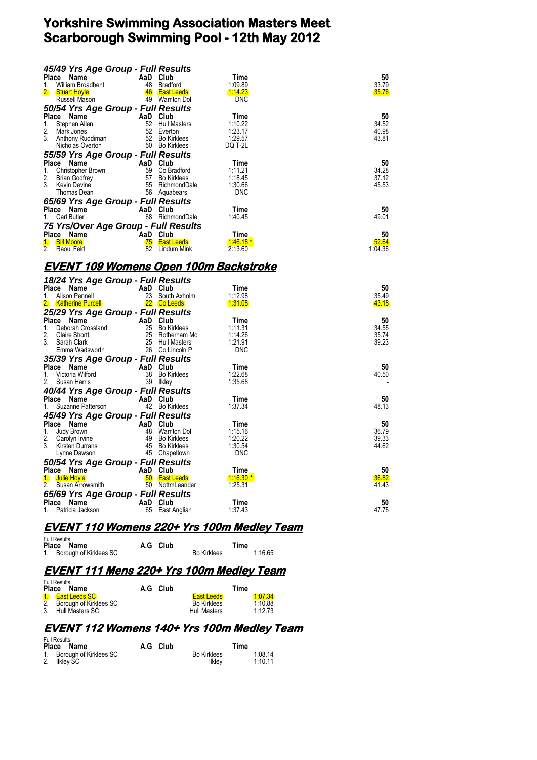| 45/49 Yrs Age Group - Full Results           |          |                              |                    |                |
|----------------------------------------------|----------|------------------------------|--------------------|----------------|
| Place Name                                   |          | AaD Club                     | Time               | 50             |
| William Broadbent<br>1.                      |          | 48 Bradford                  | 1:09.89            | 33.79          |
| 2.<br><b>Stuart Hoyle</b>                    |          | 46 East Leeds                | 1:14.23            | 35.76          |
| Russell Mason                                |          | 49 Warr'ton Dol              | <b>DNC</b>         |                |
| 50/54 Yrs Age Group - Full Results           |          |                              |                    |                |
| Place Name                                   |          | AaD Club                     | Time               | 50             |
| 1.<br>Stephen Allen                          |          | 52 Hull Masters              | 1:10.22            | 34.52          |
| 2.<br>Mark Jones                             |          | 52 Everton<br>52 Bo Kirklees | 1:23.17<br>1:29.57 | 40.98<br>43.81 |
| 3. Anthony Ruddiman<br>Nicholas Overton      |          | 50 Bo Kirklees               | DQ T-2L            |                |
| 55/59 Yrs Age Group - Full Results           |          |                              |                    |                |
| Place Name                                   | AaD Club |                              | Time               | 50             |
| 1.<br>Christopher Brown                      |          | 59 Co Bradford               | 1:11.21            | 34.28          |
| 2.<br><b>Brian Godfrey</b>                   |          | 57 Bo Kirklees               | 1:18.45            | 37.12          |
| 3.<br>Kevin Devine                           |          | 55 RichmondDale              | 1:30.66            | 45.53          |
| Thomas Dean                                  |          | 56 Aquabears                 | <b>DNC</b>         |                |
| 65/69 Yrs Age Group - Full Results           |          |                              |                    |                |
| Place Name                                   |          | AaD Club                     | Time               | 50             |
| 1. Carl Butler                               |          | 68 RichmondDale              | 1:40.45            | 49.01          |
| 75 Yrs/Over Age Group - Full Results         |          |                              |                    |                |
| Place Name                                   |          | AaD Club                     | Time               | 50             |
| 1. Bill Moore                                |          | 75 East Leeds                | $1.46.18*$         | 52.64          |
| 2 <sub>1</sub><br>Raoul Feld                 |          | 82 Lindum Mink               | 2:13.60            | 1:04.36        |
|                                              |          |                              |                    |                |
| <u>EVENT 109 Womens Open 100m Backstroke</u> |          |                              |                    |                |
| 18/24 Yrs Age Group - Full Results           |          |                              |                    |                |
| Place Name                                   |          | AaD Club                     | Time               | 50             |
| Alison Pennell<br>1.                         |          | 23 South Axholm              | 1:12.98            | 35.49          |
| 2. Katherine Purcell                         |          | 22 Co Leeds                  | 1:31.08            | 43.18          |
| 25/29 Yrs Age Group - Full Results           |          |                              |                    |                |
| Place Name                                   |          | AaD Club                     | Time               | 50             |
| $\mathbf{1}$ .<br>Deborah Crossland          |          | 25 Bo Kirklees               | 1:11.31            | 34.55          |
| 2.<br><b>Claire Shortt</b>                   |          | 25 Rotherham Mo              | 1:14.26            | 35.74          |
| 3. Sarah Clark                               |          | 25 Hull Masters              | 1:21.91            | 39.23          |
| Emma Wadsworth                               |          | 26 Co Lincoln P              | <b>DNC</b>         |                |
| 35/39 Yrs Age Group - Full Results           |          |                              |                    |                |
| Place Name                                   | AaD      | Club                         | Time               | 50             |
| 1.<br>Victoria Wilford                       |          | 38 Bo Kirklees               | 1:22.68            | 40.50          |
| 2.<br>Susan Harris                           |          | 39 Ilkley                    | 1:35.68            |                |
| 40/44 Yrs Age Group - Full Results           |          |                              |                    |                |

| victoria vviltoro                        | JÖ.             | <b>BO NITKIBBS</b> | I :22.00   | 40.OV |
|------------------------------------------|-----------------|--------------------|------------|-------|
| 2. Susan Harris                          | 39              | llkley             | 1:35.68    |       |
| 40/44 Yrs Age Group - Full Results       |                 |                    |            |       |
| Place Name                               |                 | AaD Club           | Time       | 50    |
| 1. Suzanne Patterson                     |                 | 42 Bo Kirklees     | 1:37.34    | 48.13 |
| 45/49 Yrs Age Group - Full Results       |                 |                    |            |       |
| Place Name                               |                 | AaD Club           | Time       | 50    |
| Judy Brown<br>1.                         | 48              | Warr'ton Dol       | 1:15.16    | 36.79 |
| 2. Carolyn Irvine                        | 49              | <b>Bo Kirklees</b> | 1:20.22    | 39.33 |
| 3 <sub>1</sub><br><b>Kirsten Durrans</b> |                 | 45 Bo Kirklees     | 1:30.54    | 44.62 |
| Lynne Dawson                             |                 | 45 Chapeltown      | <b>DNC</b> |       |
| 50/54 Yrs Age Group - Full Results       |                 |                    |            |       |
| Place Name                               |                 | AaD Club           | Time       | 50    |
| Julie Hovle<br>$\mathbf{1}$              | 50 <sup>°</sup> | <b>East Leeds</b>  | $1:16.30*$ | 36.82 |
| 2 <sup>1</sup><br>Susan Arrowsmith       | 50              | NottmLeander       | 1:25.31    | 41.43 |
| 65/69 Yrs Age Group - Full Results       |                 |                    |            |       |
| Place Name                               |                 | AaD Club           | Time       | 50    |
| 1. Patricia Jackson                      | 65              | East Anglian       | 1:37.43    | 47.75 |

### **EVENT 110 Womens 220+ Yrs 100m Medley Team**

| <b>Full Results</b><br>Place Name | A.G Club |                    | Time    |
|-----------------------------------|----------|--------------------|---------|
| 1. Borough of Kirklees SC         |          | <b>Bo Kirklees</b> | 1:16.65 |

## **EVENT 111 Mens 220+ Yrs 100m Medley Team**

| <b>Full Results</b><br>Place Name                                  | A.G Club |                                                                | Time                         |
|--------------------------------------------------------------------|----------|----------------------------------------------------------------|------------------------------|
| 1 East Leeds SC<br>2. Borough of Kirklees SC<br>3. Hull Masters SC |          | <b>East Leeds</b><br><b>Bo Kirklees</b><br><b>Hull Masters</b> | 1.0734<br>1:10.88<br>1:12.73 |

### **EVENT 112 Womens 140+ Yrs 100m Medley Team**

| <b>Full Results</b>       |          |                    |         |
|---------------------------|----------|--------------------|---------|
| Place Name                | A.G Club |                    | Time    |
| 1. Borough of Kirklees SC |          | <b>Bo Kirklees</b> | 1:08.14 |
| 2.<br>llklev SC           |          | Ilklev             | 1:10.11 |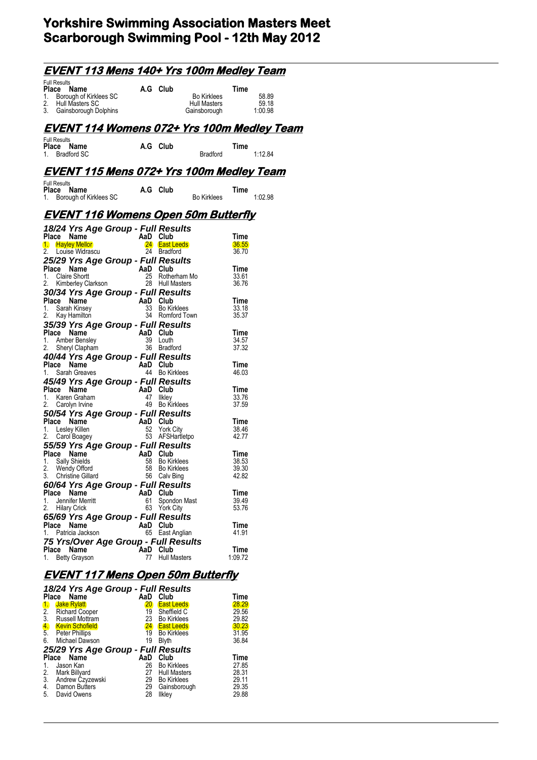| <u>EVENT 113 Mens 140+ Yrs 100m Medley Team</u>                                                                                                                                                                                                                                       |    |                                                           |                                                    |                                 |                           |
|---------------------------------------------------------------------------------------------------------------------------------------------------------------------------------------------------------------------------------------------------------------------------------------|----|-----------------------------------------------------------|----------------------------------------------------|---------------------------------|---------------------------|
| <b>Full Results</b><br>Ce Name<br>Borough of Kirklees SC A.G Club<br>Place<br>1.<br>Hull Masters SC<br>2.<br>3. Gainsborough Dolphins                                                                                                                                                 |    |                                                           | <b>Bo Kirklees</b><br>Hull Masters<br>Gainsborough | Time                            | 58.89<br>59.18<br>1:00.98 |
| <u>EVENT 114 Womens 072+ Yrs 100m Medley Team</u>                                                                                                                                                                                                                                     |    |                                                           |                                                    |                                 |                           |
| <b>Full Results</b><br>Place<br>Name<br>1. Bradford SC                                                                                                                                                                                                                                |    | A.G Club                                                  | <b>Bradford</b>                                    | Time                            | 1:12.84                   |
| <u>EVENT 115 Mens 072+ Yrs 100m Medley Team</u>                                                                                                                                                                                                                                       |    |                                                           |                                                    |                                 |                           |
| <b>Full Results</b><br>Place<br>Name<br>1. Borough of Kirklees SC                                                                                                                                                                                                                     |    | A.G Club                                                  | <b>Bo Kirklees</b>                                 | Time                            | 1:02.98                   |
| <u>EVENT 116 Womens Open 50m Butterfly</u>                                                                                                                                                                                                                                            |    |                                                           |                                                    |                                 |                           |
| 18/24 Yrs Age Group - Full Results<br><b>Place Name</b><br>1. Hayley Mellor<br>1. Hayley Mildrocou<br>2. Louise Widrascu                                                                                                                                                              |    | AaD Club<br>24 East Leeds<br>24 Bradford                  |                                                    | Time<br>36.55<br>36.70          |                           |
| 25/29 Yrs Age Group - Full Results<br>Place Name<br>1. Claire Shortt<br>2. Kimberley Clarkson<br>28 Hull M                                                                                                                                                                            |    | 28 Hull Masters                                           | 25 Rotherham Mo                                    | Time<br>33.61<br>36.76          |                           |
| 30/34 Yrs Age Group - Full Results<br>Place Name<br>1. Sarah Kinsey<br>2. Kay Hamilton                                                                                                                                                                                                |    | AaD Club<br>33 Bo Kirklees<br>34 Romford Town             |                                                    | Time<br>33.18<br>35.37          |                           |
| 35/39 Yrs Age Group - Full Results<br>Place Name<br>1. Amber Bensley 39 Louth<br>2. Charlie Street 1<br>2. Sheryl Clapham                                                                                                                                                             |    | 36 Bradford                                               |                                                    | Time<br>34.57<br>37.32          |                           |
| <b>40/44 Yrs Age Group - Full Results<br/>Place Name AaD Club<br/>1. Sarah Greaves 44 Bo Kirklees</b><br>45/49 Yrs Age Group - Full Results                                                                                                                                           |    |                                                           |                                                    | Time<br>46.03                   |                           |
| Place Name<br>$\frac{1}{1}$<br>1. Karen Graham<br>2. Carolyn Irvine                                                                                                                                                                                                                   | 47 | AaD Club<br>Ilkley<br>49 Bo Kirklees                      |                                                    | Time<br>33.76<br>37.59          |                           |
| 50/54 Yrs Age Group - Full Results<br>Place Name<br>1. Lesley Killen<br>2. Carol Boagey<br>2. Carol Boagey<br>1. Carol Boagey<br>1. Carol Boagey<br>1. Carol Boagey<br>1. Carol Boagey<br>1. Carol Boagey<br>1. Carol Boagey<br>1. Carol Boagey<br>55/59 Yrs Age Group - Full Results |    | 53 AFSHartletpo                                           |                                                    | Time<br>38.46<br>42.77          |                           |
| Place Name<br>1. Sally Shields<br>2. Wendy Offord<br>3. Christine Gillard                                                                                                                                                                                                             | 58 | AaD Club<br>Bo Kirklees<br>58 Bo Kirklees<br>56 Calv Bing |                                                    | Time<br>38.53<br>39.30<br>42.82 |                           |
| 60/64 Yrs Age Group - Full Results<br>Place<br>Name<br>Jennifer Merritt<br>1.<br>2.<br><b>Hilary Crick</b><br>65/69 Yrs Age Group - Full Results                                                                                                                                      | 61 | AaD Club<br>Spondon Mast<br>63 York City                  |                                                    | Time<br>39.49<br>53.76          |                           |
| Place Name<br>Patricia Jackson<br>1.<br>75 Yrs/Over Age Group - Full Results                                                                                                                                                                                                          |    | AaD Club<br>65 East Anglian                               |                                                    | Time<br>41.91                   |                           |
| Place Name<br>1.<br><b>Betty Grayson</b>                                                                                                                                                                                                                                              | 77 | AaD Club<br><b>Hull Masters</b>                           |                                                    | Time<br>1:09.72                 |                           |

# **EVENT 117 Mens Open 50m Butterfly**

| Name<br>Place          | AaD                               | Club                | Time                                                                                                          |
|------------------------|-----------------------------------|---------------------|---------------------------------------------------------------------------------------------------------------|
| <b>Jake Rylatt</b>     | $20\,$                            | <b>East Leeds</b>   | 28.29                                                                                                         |
| <b>Richard Cooper</b>  | 19                                | Sheffield C         | 29.56                                                                                                         |
| Russell Mottram        | 23                                | <b>Bo Kirklees</b>  | 29.82                                                                                                         |
| <b>Kevin Schofield</b> | <b>24</b>                         |                     | 30.23                                                                                                         |
| <b>Peter Phillips</b>  | 19                                | <b>Bo Kirklees</b>  | 31.95                                                                                                         |
| Michael Dawson         | 19                                | <b>Blyth</b>        | 36.84                                                                                                         |
|                        |                                   |                     |                                                                                                               |
| Name<br>Place          | AaD                               | Club                | Time                                                                                                          |
| Jason Kan              | 26                                | <b>Bo Kirklees</b>  | 27.85                                                                                                         |
| Mark Billyard          | 27                                | <b>Hull Masters</b> | 28.31                                                                                                         |
|                        | 29                                | <b>Bo Kirklees</b>  | 29.11                                                                                                         |
|                        | 29                                |                     | 29.35                                                                                                         |
| David Owens            | 28                                | <b>Ilkley</b>       | 29.88                                                                                                         |
|                        | Andrew Czyzewski<br>Damon Butters |                     | 18/24 Yrs Age Group - Full Results<br><b>East Leeds</b><br>25/29 Yrs Age Group - Full Results<br>Gainsborough |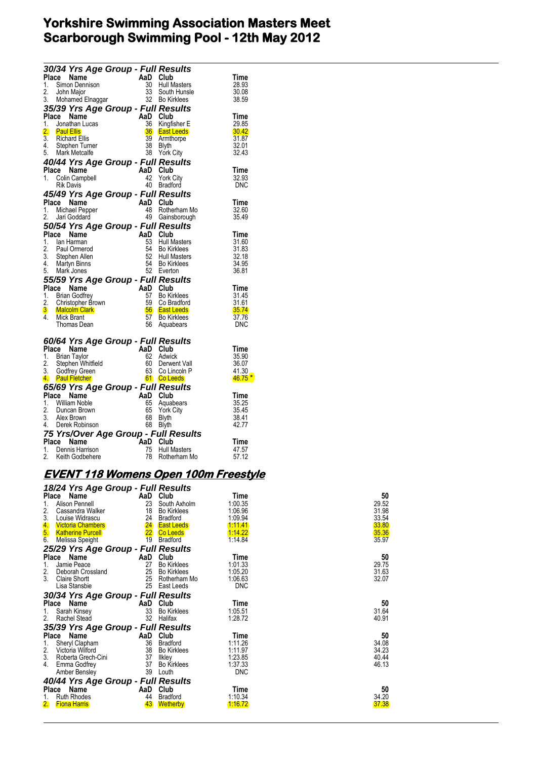|                                                      | 30/34 Yrs Age Group - Full Results                           |
|------------------------------------------------------|--------------------------------------------------------------|
| Place<br>Name<br>AaD.<br>Club                        | Time                                                         |
| 30<br>1.<br>Simon Dennison                           | <b>Hull Masters</b><br>28.93                                 |
| 33<br>2.<br>John Maior                               | South Hunsle<br>30.08                                        |
| 3.<br>Mohamed Elnaggar                               | 32 Bo Kirklees<br>38.59                                      |
| 35/39 Yrs Age Group - Full Results                   |                                                              |
| Place<br>Name<br>AaD Club                            | Time                                                         |
| 36<br>1.<br>Jonathan Lucas                           | Kingfisher E<br>29.85                                        |
| 2.<br><b>Paul Ellis</b>                              | <b>36</b> East Leeds<br>30.42                                |
| 3.<br>39<br><b>Richard Ellis</b>                     | 31.87<br>Armthorpe                                           |
| 4.<br>38<br>Stephen Turner                           | 32.01<br>Blyth                                               |
| 5.<br>Mark Metcalfe<br>38                            | 32.43<br><b>York City</b>                                    |
| 40/44 Yrs Age Group - Full Results                   |                                                              |
| AaD Club<br>Place<br>Name                            | Time                                                         |
| 42<br>1.<br>Colin Campbell                           | <b>York City</b><br>32.93                                    |
| 40 Bradford<br><b>Rik Davis</b>                      | DNC                                                          |
| 45/49 Yrs Age Group - Full Results                   |                                                              |
| AaD Club<br>Place<br>Name                            | Time                                                         |
| 48<br>1.<br>Michael Pepper<br>2.                     | Rotherham Mo<br>32.60<br>49 Gainsborough                     |
| Jari Goddard                                         | 35.49                                                        |
| 50/54 Yrs Age Group - Full Results                   |                                                              |
| AaD<br>Place<br>Name<br>1.<br>53                     | Club<br>Time                                                 |
| lan Harman<br>2.<br>54<br>Paul Ormerod               | <b>Hull Masters</b><br>31.60<br>31.83<br><b>Bo Kirklees</b>  |
| 3.<br>52<br>Stephen Allen                            | <b>Hull Masters</b><br>32.18                                 |
| 4. Martyn Binns<br>54                                | <b>Bo Kirklees</b><br>34.95                                  |
|                                                      |                                                              |
|                                                      |                                                              |
| 52 Everton<br>5. Mark Jones                          | 36.81                                                        |
| 55/59 Yrs Age Group - Full Results                   |                                                              |
| AaD<br>Club<br>Place<br>Name                         | Time                                                         |
| 1.<br>57<br>Brian Godfrey                            | <b>Bo Kirklees</b><br>31.45                                  |
| 2.<br>59<br>Christopher Brown                        | 31.61<br>Co Bradford                                         |
| 3 Malcolm Clark<br>4.<br>Mick Brant<br>57            | <b>56</b> East Leeds<br>35.74<br><b>Bo Kirklees</b><br>37.76 |
| 56<br>Thomas Dean                                    | Aquabears<br>DNC                                             |
|                                                      |                                                              |
| 60/64 Yrs Age Group - Full Results                   |                                                              |
| AaD Club<br>Place Name                               | Time                                                         |
| 1.<br>62<br>Brian Taylor                             | Adwick<br>35.90                                              |
| 2.<br>60<br>Stephen Whitfield                        | 36.07<br>Derwent Vall                                        |
| 63<br>3.<br>Godfrey Green                            | Co Lincoln P<br>41.30                                        |
| 4. Paul Fletcher<br>61 Co Leeds                      | 46.75 <sup>*</sup>                                           |
| 65/69 Yrs Age Group - Full Results                   |                                                              |
| Place<br>AaD<br>Name<br>Club                         | Time                                                         |
| 1.<br><b>William Noble</b><br>65                     | 35.25<br>Aquabears                                           |
| 2.<br>65<br>Duncan Brown                             | 35.45<br><b>York City</b>                                    |
| 3. Alex Brown<br>68                                  | 38.41<br>Blyth                                               |
| 4. Derek Robinson<br>68                              | 42.77<br>Blyth                                               |
| 75 Yrs/Over Age Group - Full Results                 |                                                              |
| Place<br>`AaD<br>Name<br>1.<br>75<br>Dennis Harrison | Club<br>Time<br><b>Hull Masters</b><br>47.57                 |

### **EVENT 118 Womens Open 100m Freestyle**

| 18/24 Yrs Age Group - Full Results<br>Place | AaD | Club               | Time       | 50    |
|---------------------------------------------|-----|--------------------|------------|-------|
| Name<br>Alison Pennell<br>1.                | 23  | South Axholm       | 1:00.35    | 29.52 |
| 2.<br>Cassandra Walker                      | 18  | <b>Bo Kirklees</b> | 1:06.96    | 31.98 |
| 3.<br>Louise Widrascu                       | 24  | <b>Bradford</b>    | 1:09.94    | 33.54 |
| 4.<br><b>Victoria Chambers</b>              |     | 24 East Leeds      | 1.11.41    | 33.80 |
| 5 <sub>1</sub><br><b>Katherine Purcell</b>  |     | 22 Co Leeds        | 1.14.22    | 35.36 |
| 6.<br>Melissa Speight                       | 19  | <b>Bradford</b>    | 1:14.84    | 35.97 |
| 25/29 Yrs Age Group - Full Results          |     |                    |            |       |
| Place<br>Name                               | AaD | Club               | Time       | 50    |
| 1.<br>Jamie Peace                           | 27  | <b>Bo Kirklees</b> | 1:01.33    | 29.75 |
| 2.<br>Deborah Crossland                     | 25  | <b>Bo Kirklees</b> | 1:05.20    | 31.63 |
| 3.<br><b>Claire Shortt</b>                  | 25  | Rotherham Mo       | 1:06.63    | 32.07 |
| Lisa Stansbie                               | 25  | East Leeds         | <b>DNC</b> |       |
| 30/34 Yrs Age Group - Full Results          |     |                    |            |       |
| Place<br>Name                               | AaD | Club               | Time       | 50    |
| Sarah Kinsey<br>1.                          | 33  | <b>Bo Kirklees</b> | 1:05.51    | 31.64 |
| 2.<br><b>Rachel Stead</b>                   | 32  | Halifax            | 1:28.72    | 40.91 |
| 35/39 Yrs Age Group - Full Results          |     |                    |            |       |
| Place<br>Name                               | AaD | Club               | Time       | 50    |
| 1.<br>Sheryl Clapham                        | 36  | <b>Bradford</b>    | 1:11.26    | 34.08 |
| 2.<br>Victoria Wilford                      | 38  | <b>Bo Kirklees</b> | 1:11.97    | 34.23 |
| 3.<br>Roberta Grech-Cini                    | 37  | llkley             | 1:23.85    | 40.44 |
| 4.<br>Emma Godfrey                          | 37  | <b>Bo Kirklees</b> | 1:37.33    | 46.13 |
| Amber Bensley                               | 39  | Louth              | <b>DNC</b> |       |
| 40/44 Yrs Age Group - Full Results          |     |                    |            |       |
| Place Name                                  | AaD | Club               | Time       | 50    |
| <b>Ruth Rhodes</b><br>1.                    | 44  | <b>Bradford</b>    | 1:10.34    | 34.20 |
| 2.<br><b>Fiona Harris</b>                   | 43  | <b>Wetherby</b>    | 1.16.72    | 37.38 |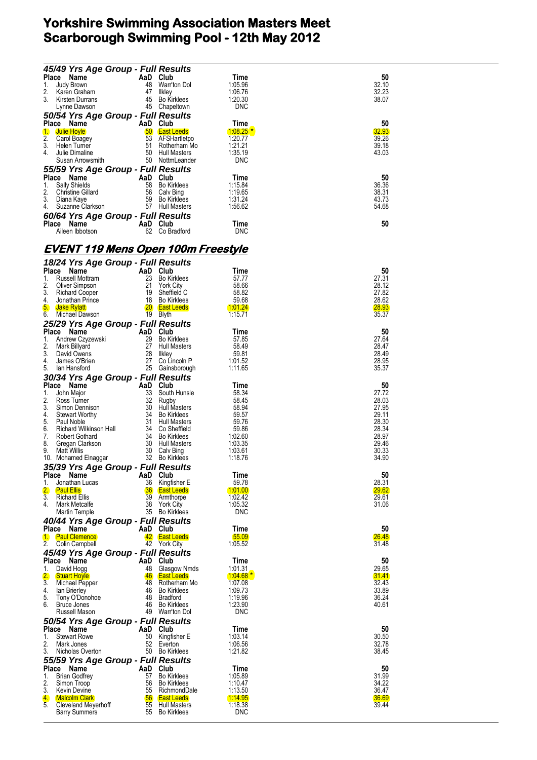| And <b>The Surfall Results</b><br>Place Name AaD Club<br>1. Judy Brown 48 Warr'ton Dol<br>2. Karen Graham 47 Ilkley<br>3. Kirsten Durrans 45 Bo Kirklees<br>Lynne Dawson 45 Chapeltown<br>50/54 Yrs Age Grown - Full Doorthest                                                                         |                                      |                               |                       |
|--------------------------------------------------------------------------------------------------------------------------------------------------------------------------------------------------------------------------------------------------------------------------------------------------------|--------------------------------------|-------------------------------|-----------------------|
|                                                                                                                                                                                                                                                                                                        |                                      | Time                          | 50                    |
|                                                                                                                                                                                                                                                                                                        |                                      | 1:05.96<br>1:06.76            | 32.10<br>32.23        |
|                                                                                                                                                                                                                                                                                                        |                                      | 1:20.30                       | 38.07                 |
|                                                                                                                                                                                                                                                                                                        |                                      | <b>DNC</b>                    |                       |
| <b>50/54 Yrs Age Group - Full Results<br/> Place Name AaD Club<br/> 1. Julie Hoyle 60 East Leeds<br/> 2. Carol Boagey 53 AFSHartletpo<br/> 3. Helen Turner 51 Rotherham Mo<br/> 4. Julie Dimaline 50 Hull Masters<br/> Susan Arrowsmith 50 NottmLeander</b>                                            |                                      |                               |                       |
|                                                                                                                                                                                                                                                                                                        |                                      | Time<br>$1.08.25$ *           | 50<br>32.93           |
|                                                                                                                                                                                                                                                                                                        |                                      | 1:20.77                       | 39.26                 |
|                                                                                                                                                                                                                                                                                                        |                                      | 1:21.21                       | 39.18                 |
|                                                                                                                                                                                                                                                                                                        |                                      | 1:35.19<br><b>DNC</b>         | 43.03                 |
| 55/59 Yrs Age Group - Full Results<br>Place Name AaD Club<br>1. Sally Shields 58 Bo Kirklees<br>2. Christine Gilard 56 Calv Bing<br>3. Diana Kaye 59 Bo Kirklees<br>4. Suzanne Clarkson 57 Hull Masters                                                                                                |                                      |                               |                       |
|                                                                                                                                                                                                                                                                                                        |                                      | Time                          | 50                    |
|                                                                                                                                                                                                                                                                                                        |                                      |                               | 36.36                 |
|                                                                                                                                                                                                                                                                                                        |                                      | 1:15.84<br>1:19.65<br>1:31.24 | 38.31                 |
|                                                                                                                                                                                                                                                                                                        |                                      | 1:31.24<br>1:56.62            | 43.73<br>54.68        |
| 60/64 Yrs Age Group - Full Results                                                                                                                                                                                                                                                                     |                                      |                               |                       |
| Place Name<br>Aileen Ibbotson 62 Co Bradford                                                                                                                                                                                                                                                           |                                      | Time                          | 50                    |
|                                                                                                                                                                                                                                                                                                        |                                      | <b>DNC</b>                    |                       |
|                                                                                                                                                                                                                                                                                                        |                                      |                               |                       |
| <u>EVENT 119 Mens Open 100m Freestyle</u>                                                                                                                                                                                                                                                              |                                      |                               |                       |
| 18/24 Yrs Age Group - Full Results<br><b>16/24 Yrs Age Group - Full Results<br/> Place Name AaD Club<br/> 1. Russell Mottram 23 Bo Kirklees<br/> 2. Oliver Simpson 21 York City<br/> 3. Richard Cooper 19 Sheffield C<br/> 5. Jake Rylatt 18 Bo Kirklees<br/> 5. Jake Rylatt 20 East Leeds<br/> 6.</b> |                                      |                               |                       |
|                                                                                                                                                                                                                                                                                                        |                                      | Time                          | 50                    |
|                                                                                                                                                                                                                                                                                                        |                                      | 57.77<br>58.66                | 27.31<br>28.12        |
|                                                                                                                                                                                                                                                                                                        |                                      | 58.82                         | 27.82                 |
|                                                                                                                                                                                                                                                                                                        |                                      | 59.68                         | 28.62                 |
|                                                                                                                                                                                                                                                                                                        |                                      | <u> 1:01.24</u>               | <b>28.93</b>          |
|                                                                                                                                                                                                                                                                                                        |                                      | 1:15.71                       | 35.37                 |
| <b>25/29 Yrs Age Group - Full Results<br/> Place Name AaD Club<br/> 1. Andrew Czyzewski 29 Bo Kirklees<br/> 2. Mark Billyard 27 Hull Masters<br/> 4. James O'Brien 27 Co Lincoln P<br/> 5. Ian Hansford 25 Gainsborough</b>                                                                            |                                      | Time                          | 50                    |
|                                                                                                                                                                                                                                                                                                        |                                      | 57.85                         | 27.64                 |
|                                                                                                                                                                                                                                                                                                        |                                      | 58.49                         | 28.47                 |
|                                                                                                                                                                                                                                                                                                        |                                      | 59.81<br>1:01.52              | 28.49<br>28.95        |
| 5. Ian Hansford                                                                                                                                                                                                                                                                                        | 25 Gainsborough                      | 1:11.65                       | 35.37                 |
| 30/34 Yrs Age Group - Full Results                                                                                                                                                                                                                                                                     |                                      |                               |                       |
|                                                                                                                                                                                                                                                                                                        |                                      | Time                          | 50                    |
|                                                                                                                                                                                                                                                                                                        |                                      | 58.34<br>58.45                | 27.72<br>28.03        |
|                                                                                                                                                                                                                                                                                                        |                                      | 58.94                         | 27.95                 |
|                                                                                                                                                                                                                                                                                                        |                                      | 59.57                         | 29.11                 |
|                                                                                                                                                                                                                                                                                                        |                                      | 59.76<br>59.86                | 28.30<br>28.34        |
|                                                                                                                                                                                                                                                                                                        |                                      |                               | 28.97                 |
|                                                                                                                                                                                                                                                                                                        |                                      | 1:02.60<br>1:03.35            | 29.46                 |
|                                                                                                                                                                                                                                                                                                        |                                      | 1:03.61                       | 30.33                 |
| <b>30/34 Yrs Age Group - Full Results<br/> Place Name and Cub Subsetter<br/> 1. John Major 33 South Hunsle<br/> 2. Ross Turner 32 Rugby<br/> 3. Simon Dennison 30 Hull Masters<br/> 4. Stewart Worthy 34 Bo Kirkless<br/> 6. Richard Wilkinson Hall 34 C</b><br>35/39 Yrs Age Group - Full Results     |                                      | 1:18.76                       | 34.90                 |
| Place Name                                                                                                                                                                                                                                                                                             | AaD Club                             | Time                          | 50                    |
| Jonathan Lucas<br>1.                                                                                                                                                                                                                                                                                   | 36 Kingfisher E                      | 59.78                         | 28.31                 |
| $\overline{2}$ .<br><b>Paul Ellis</b><br>3.                                                                                                                                                                                                                                                            | <b>36</b> East Leeds<br>39 Armthorpe | 1:01.00                       | <b>29.62</b>          |
| Richard Ellis<br>4.<br>Mark Metcalfe                                                                                                                                                                                                                                                                   | 38<br>York City                      | 1:02.42<br>1:05.32            | 29.61<br>31.06        |
| Martin Temple                                                                                                                                                                                                                                                                                          | 35 Bo Kirklees                       | <b>DNC</b>                    |                       |
| 40/44 Yrs Age Group - Full Results                                                                                                                                                                                                                                                                     |                                      |                               |                       |
| Place Name<br>1. Paul Clemence                                                                                                                                                                                                                                                                         | AaD Club<br>42 East Leeds            | Time                          | 50                    |
| 2.<br>Colin Campbell                                                                                                                                                                                                                                                                                   | 42 York City                         | 55.09<br>1:05.52              | <b>26.48</b><br>31.48 |
| 45/49 Yrs Age Group - Full Results                                                                                                                                                                                                                                                                     |                                      |                               |                       |
| Place Name                                                                                                                                                                                                                                                                                             | AaD Club                             | Time                          | 50                    |
| 1. David Hogg                                                                                                                                                                                                                                                                                          | 48 Glasgow Nmds                      | 1:01.31                       | 29.65                 |
| 2.<br><b>Stuart Hoyle</b><br>3.<br>Michael Pepper                                                                                                                                                                                                                                                      | 46 East Leeds<br>48 Rotherham Mo     | $1:04.68*$<br>1:07.08         | <b>31.41</b><br>32.43 |
| 4.<br>lan Brierley                                                                                                                                                                                                                                                                                     | 46 Bo Kirklees                       | 1:09.73                       | 33.89                 |
| 5.<br>Tony O'Donohoe                                                                                                                                                                                                                                                                                   | 48 Bradford                          | 1:19.96                       | 36.24                 |
| Bruce Jones<br>Russell Mason                                                                                                                                                                                                                                                                           | 46 Bo Kirklees<br>49 Warr'ton Dol    | 1:23.90<br><b>DNC</b>         | 40.61                 |
| 50/54 Yrs Age Group - Full Results                                                                                                                                                                                                                                                                     |                                      |                               |                       |
| Place Name                                                                                                                                                                                                                                                                                             | AaD Club                             | Time                          | 50                    |
| <b>Stewart Rowe</b><br>1.                                                                                                                                                                                                                                                                              | Kingfisher E<br>50                   | 1:03.14                       | 30.50                 |
| 2.<br>Mark Jones<br>3.<br>Nicholas Overton                                                                                                                                                                                                                                                             | 52 Everton<br>50 Bo Kirklees         | 1:06.56<br>1:21.82            | 32.78<br>38.45        |
| 55/59 Yrs Age Group - Full Results                                                                                                                                                                                                                                                                     |                                      |                               |                       |
| Place Name                                                                                                                                                                                                                                                                                             | AaD Club                             | Time                          | 50                    |
| 1.<br>Brian Godfrey                                                                                                                                                                                                                                                                                    | 57 Bo Kirklees                       | 1:05.89                       | 31.99                 |
| 2.<br>Simon Troop<br>3.<br><b>Kevin Devine</b>                                                                                                                                                                                                                                                         | 56 Bo Kirklees<br>55 RichmondDale    | 1:10.47<br>1:13.50            | 34.22<br>36.47        |
| 4.<br>Malcolm Clark                                                                                                                                                                                                                                                                                    | <b>56</b> East Leeds                 | <u> 1:14.95</u>               | 36.69                 |
| 5.<br>Cleveland Meyerhoff                                                                                                                                                                                                                                                                              | 55 Hull Masters                      | 1:18.38                       | 39.44                 |
| <b>Barry Summers</b>                                                                                                                                                                                                                                                                                   | 55 Bo Kirklees                       | <b>DNC</b>                    |                       |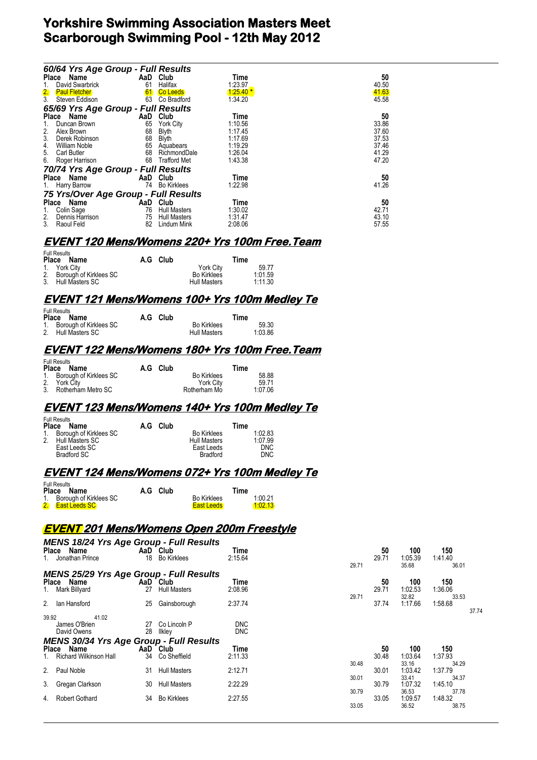| 60/64 Yrs Age Group - Full Results   |     |                     |            |       |
|--------------------------------------|-----|---------------------|------------|-------|
| Place Name                           | AaD | Club                | Time       | 50    |
| David Swarbrick<br>1.                | 61  | Halifax             | 1:23.97    | 40.50 |
| 2.<br><b>Paul Fletcher</b>           | 61  | <b>Co Leeds</b>     | $1:25.40*$ | 41.63 |
| 3 <sub>l</sub><br>Steven Eddison     | 63  | Co Bradford         | 1:34.20    | 45.58 |
| 65/69 Yrs Age Group - Full Results   |     |                     |            |       |
| Place Name                           | AaD | Club                | Time       | 50    |
| Duncan Brown<br>1.                   | 65  | <b>York City</b>    | 1:10.56    | 33.86 |
| 2.<br>Alex Brown                     | 68  | <b>Blyth</b>        | 1:17.45    | 37.60 |
| 3.<br>Derek Robinson                 | 68  | Blyth               | 1:17.69    | 37.53 |
| 4.<br><b>William Noble</b>           | 65  | Aquabears           | 1:19.29    | 37.46 |
| 5.<br>Carl Butler                    | 68  | RichmondDale        | 1:26.04    | 41.29 |
| 6.<br>Roger Harrison                 | 68  | <b>Trafford Met</b> | 1:43.38    | 47.20 |
| 70/74 Yrs Age Group - Full Results   |     |                     |            |       |
| Place Name                           | AaD | Club                | Time       | 50    |
| 1. Harry Barrow                      | 74  | <b>Bo Kirklees</b>  | 1:22.98    | 41.26 |
| 75 Yrs/Over Age Group - Full Results |     |                     |            |       |
| Place Name                           | AaD | Club                | Time       | 50    |
| Colin Sage<br>1.                     | 76  | <b>Hull Masters</b> | 1:30.02    | 42.71 |
| 2.<br>Dennis Harrison                | 75  | <b>Hull Masters</b> | 1:31.47    | 43.10 |
| 3.<br>Raoul Feld                     | 82  | Lindum Mink         | 2:08.06    | 57.55 |

#### **EVENT 120 Mens/Womens 220+ Yrs 100m Free.Team**

| <b>Full Results</b>       |          |                     |         |
|---------------------------|----------|---------------------|---------|
| Place Name                | A.G Club |                     | Time    |
| 1. York City              |          | York City           | 59.77   |
| 2. Borough of Kirklees SC |          | <b>Bo Kirklees</b>  | 1:01.59 |
| 3. Hull Masters SC        |          | <b>Hull Masters</b> | 1:11.30 |

### **EVENT 121 Mens/Womens 100+ Yrs 100m Medley Te**

| <b>Full Results</b>                             |  |          |                                           |                  |  |  |  |
|-------------------------------------------------|--|----------|-------------------------------------------|------------------|--|--|--|
| Place Name                                      |  | A.G Club |                                           | Time             |  |  |  |
| 1. Borough of Kirklees SC<br>2. Hull Masters SC |  |          | <b>Bo Kirklees</b><br><b>Hull Masters</b> | 59.30<br>1:03.86 |  |  |  |

#### **EVENT 122 Mens/Womens 180+ Yrs 100m Free.Team**

| <b>Full Results</b><br>Place Name | A.G Club |                    | Time    |  |
|-----------------------------------|----------|--------------------|---------|--|
| 1. Borough of Kirklees SC         |          | <b>Bo Kirklees</b> | 58.88   |  |
| 2. York City                      |          | <b>York City</b>   | 59.71   |  |
| 3. Rotherham Metro SC             |          | Rotherham Mo       | 1:07.06 |  |

### **EVENT 123 Mens/Womens 140+ Yrs 100m Medley Te**

| <b>Place</b> | <b>Full Results</b><br><b>Name</b> | A.G Club |                     | Time       |
|--------------|------------------------------------|----------|---------------------|------------|
|              | 1. Borough of Kirklees SC          |          | <b>Bo Kirklees</b>  | 1:02.83    |
|              | 2. Hull Masters SC                 |          | <b>Hull Masters</b> | 1:07.99    |
|              | East Leeds SC                      |          | East Leeds          | <b>DNC</b> |
|              | Bradford SC                        |          | <b>Bradford</b>     | <b>DNC</b> |

## **EVENT 124 Mens/Womens 072+ Yrs 100m Medley Te**

| <b>Full Results</b>       |          |                    |         |
|---------------------------|----------|--------------------|---------|
| Place Name                | A.G Club |                    | Time    |
| 1. Borough of Kirklees SC |          | <b>Bo Kirklees</b> | 1:00.21 |
| 2. East Leeds SC          |          | <b>East Leeds</b>  | 1:02.13 |

### **EVENT 201 Mens/Womens Open 200m Freestyle**

| <b>MENS 18/24 Yrs Age Group - Full Results</b><br>Place Name<br>1. Jonathan Prince                     |          | AaD Club<br>18 Bo Kirklees                      | Time<br>2:15.64            | 29.71          | 50<br>29.71          | 100<br>1:05.39<br>35.68            | 150<br>1:41.40<br>36.01                     |
|--------------------------------------------------------------------------------------------------------|----------|-------------------------------------------------|----------------------------|----------------|----------------------|------------------------------------|---------------------------------------------|
| <b>MENS 25/29 Yrs Age Group - Full Results</b><br>Place Name<br>1. Mark Billyard<br>2.<br>lan Hansford | 27<br>25 | AaD Club<br><b>Hull Masters</b><br>Gainsborough | Time<br>2:08.96<br>2:37.74 | 29.71          | 50<br>29.71<br>37.74 | 100<br>1:02.53<br>32.82<br>1:17.66 | 150<br>1:36.06<br>33.53<br>1:58.68<br>37.74 |
| 39.92<br>41.02<br>James O'Brien<br>David Owens<br><b>MENS 30/34 Yrs Age Group - Full Results</b>       | 28       | 27 Co Lincoln P<br>llkley                       | <b>DNC</b><br><b>DNC</b>   |                |                      |                                    |                                             |
| Place Name                                                                                             |          | AaD Club                                        | Time                       |                | 50                   | 100                                | 150                                         |
| 1. Richard Wilkinson Hall<br>2. Paul Noble                                                             | 34<br>31 | Co Sheffield<br><b>Hull Masters</b>             | 2:11.33<br>2:12.71         | 30.48          | 30.48<br>30.01       | 1:03.64<br>33.16<br>1:03.42        | 1:37.93<br>34.29<br>1:37.79                 |
| 3. Gregan Clarkson                                                                                     | 30       | <b>Hull Masters</b>                             | 2:22.29                    | 30.01<br>30.79 | 30.79                | 33.41<br>1:07.32<br>36.53          | 34.37<br>1:45.10<br>37.78                   |
| <b>Robert Gothard</b><br>4.                                                                            | 34       | <b>Bo Kirklees</b>                              | 2:27.55                    | 33.05          | 33.05                | 1:09.57<br>36.52                   | 1:48.32<br>38.75                            |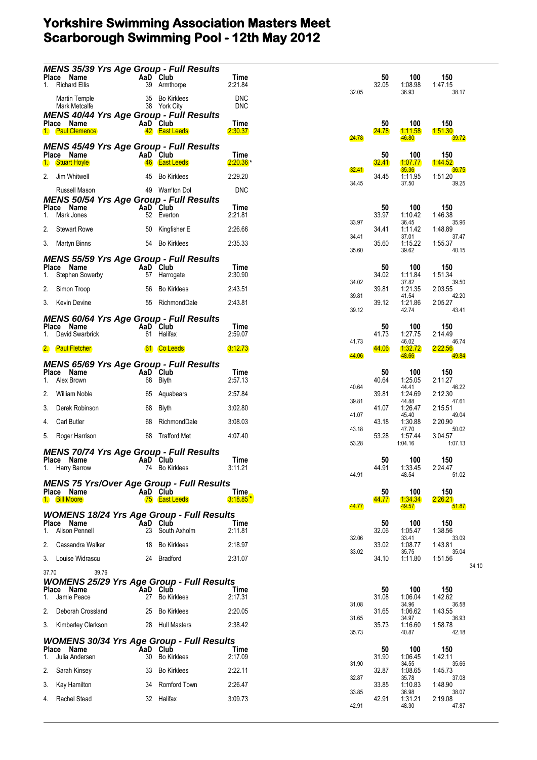|       | Place Name                          |       |    | <b>MENS 35/39 Yrs Age Group - Full Results</b><br>AaD Club                  | Time                     |              | 50                 | 100                      | 150                   |  |
|-------|-------------------------------------|-------|----|-----------------------------------------------------------------------------|--------------------------|--------------|--------------------|--------------------------|-----------------------|--|
|       | <b>Richard Ellis</b>                |       |    | 39 Armthorpe                                                                | 2:21.84                  | 32.05        | 32.05              | 1:08.98<br>36.93         | 1:47.15<br>38.17      |  |
|       | Martin Temple<br>Mark Metcalfe      |       | 35 | <b>Bo Kirklees</b><br>38 York City                                          | <b>DNC</b><br><b>DNC</b> |              |                    |                          |                       |  |
|       | Place Name<br>1. Paul Clemence      |       |    | <b>MENS 40/44 Yrs Age Group - Full Results</b><br>AaD Club<br>42 East Leeds | Time<br>2:30.37          |              | 50<br><u>24.78</u> | 100<br><u> 1:11.58</u>   | 150<br>1.51.30        |  |
|       |                                     |       |    | <b>MENS 45/49 Yrs Age Group - Full Results</b>                              |                          | <b>24.78</b> |                    | 46.80                    | <b>39.72</b>          |  |
| 1.    | Place Name<br><b>Stuart Hoyle</b>   |       | 46 | AaD Club<br><b>East Leeds</b>                                               | Time<br>$2:20.36*$       |              | 50<br>32.41        | 100<br><u> 1:07.77</u>   | 150<br><b>1:44.52</b> |  |
| 2.    | Jim Whitwell                        |       | 45 | <b>Bo Kirklees</b>                                                          | 2:29.20                  | 32.41        | 34.45              | 35.36<br>1:11.95         | 36.75<br>1:51.20      |  |
|       | Russell Mason                       |       |    | 49 Warr'ton Dol                                                             | <b>DNC</b>               | 34.45        |                    | 37.50                    | 39.25                 |  |
| 1.    | Place Name<br>Mark Jones            |       |    | <b>MENS 50/54 Yrs Age Group - Full Results</b><br>AaD Club<br>52 Everton    | Time<br>2:21.81          |              | 50<br>33.97        | 100<br>1:10.42           | 150<br>1:46.38        |  |
| 2.    | <b>Stewart Rowe</b>                 |       | 50 | Kingfisher E                                                                | 2:26.66                  | 33.97        | 34.41              | 36.45<br>1:11.42         | 35.96<br>1:48.89      |  |
|       | 3. Martyn Binns                     |       | 54 | <b>Bo Kirklees</b>                                                          | 2:35.33                  | 34.41        | 35.60              | 37.01<br>1:15.22         | 37.47<br>1:55.37      |  |
|       |                                     |       |    | <b>MENS 55/59 Yrs Age Group - Full Results</b>                              |                          | 35.60        |                    | 39.62                    | 40.15                 |  |
| 1.    | Place Name<br>Stephen Sowerby       |       |    | AaD Club<br>57 Harrogate                                                    | Time<br>2:30.90          |              | 50<br>34.02        | 100<br>1:11.84           | 150<br>1:51.34        |  |
| 2.    | Simon Troop                         |       | 56 | <b>Bo Kirklees</b>                                                          | 2:43.51                  | 34.02        | 39.81              | 37.82<br>1:21.35         | 39.50<br>2:03.55      |  |
| 3.    | <b>Kevin Devine</b>                 |       |    | 55 RichmondDale                                                             | 2:43.81                  | 39.81        | 39.12              | 41.54<br>1:21.86         | 42.20<br>2:05.27      |  |
|       |                                     |       |    |                                                                             |                          | 39.12        |                    | 42.74                    | 43.41                 |  |
|       | Place Name                          |       |    | <b>MENS 60/64 Yrs Age Group - Full Results</b><br>AaD Club                  | Time                     |              | 50                 | 100                      | 150                   |  |
|       | David Swarbrick                     |       | 61 | Halifax                                                                     | 2:59.07                  | 41.73        | 41.73              | 1:27.75<br>46.02         | 2:14.49<br>46.74      |  |
|       | 2. Paul Fletcher                    |       |    | 61 Co Leeds                                                                 | <u>3.12.73</u>           | 44.06        | 44.06              | <u> 1:32.72</u><br>48.66 | 2:22.56<br>49.84      |  |
|       | Place Name                          |       |    | <b>MENS 65/69 Yrs Age Group - Full Results</b><br>AaD Club                  | Time                     |              | 50                 | 100                      | 150                   |  |
| 1.    | Alex Brown                          |       | 68 | Blyth                                                                       | 2:57.13                  | 40.64        | 40.64              | 1:25.05<br>44.41         | 2:11.27<br>46.22      |  |
| 2.    | William Noble                       |       | 65 | Aquabears                                                                   | 2:57.84                  | 39.81        | 39.81              | 1:24.69<br>44.88         | 2:12.30<br>47.61      |  |
| 3.    | Derek Robinson                      |       | 68 | Blyth                                                                       | 3:02.80                  | 41.07        | 41.07              | 1:26.47<br>45.40         | 2:15.51<br>49.04      |  |
| 4.    | <b>Carl Butler</b>                  |       | 68 | RichmondDale                                                                | 3:08.03                  | 43.18        | 43.18              | 1:30.88<br>47.70         | 2:20.90<br>50.02      |  |
| 5.    | Roger Harrison                      |       |    | 68 Trafford Met                                                             | 4:07.40                  | 53.28        | 53.28              | 1:57.44<br>1:04.16       | 3:04.57<br>1:07.13    |  |
|       |                                     |       |    | <b>MENS 70/74 Yrs Age Group - Full Results</b>                              |                          |              |                    |                          |                       |  |
|       | Place Name<br>1. Harry Barrow       |       |    | AaD Club<br>74 Bo Kirklees                                                  | Time<br>3:11.21          |              | 50<br>44.91        | 100<br>1:33.45           | 150<br>2:24.47        |  |
|       |                                     |       |    | <b>MENS 75 Yrs/Over Age Group - Full Results</b>                            |                          | 44.91        |                    | 48.54                    | 51.02                 |  |
|       | Place Name<br>1. Bill Moore         |       |    | AaD Club<br><b>75</b> East Leeds                                            | Time,<br>$3.18.85*$      |              | 50<br>44.77        | 100<br><u> 1:34.34</u>   | 150<br><u>2:26.21</u> |  |
|       |                                     |       |    | <b>WOMENS 18/24 Yrs Age Group - Full Results</b>                            |                          | 44.77        |                    | 49.57                    | 51.87                 |  |
|       | Place Name<br><b>Alison Pennell</b> |       |    | AaD Club<br>23 South Axholm                                                 | Time<br>2:11.81          |              | 50<br>32.06        | 100                      | 150                   |  |
| 1.    |                                     |       |    |                                                                             |                          | 32.06        |                    | 1:05.47<br>33.41         | 1:38.56<br>33.09      |  |
| 2.    | Cassandra Walker                    |       | 18 | <b>Bo Kirklees</b>                                                          | 2:18.97                  | 33.02        | 33.02              | 1:08.77<br>35.75         | 1:43.81<br>35.04      |  |
|       | 3. Louise Widrascu                  |       |    | 24 Bradford                                                                 | 2:31.07                  |              | 34.10              | 1:11.80                  | 1:51.56<br>34.10      |  |
| 37.70 |                                     | 39.76 |    | <b>WOMENS 25/29 Yrs Age Group - Full Results</b>                            |                          |              |                    |                          |                       |  |
| 1.    | Place Name<br>Jamie Peace           |       |    | AaD Club<br>27 Bo Kirklees                                                  | Time<br>2:17.31          |              | 50<br>31.08        | 100<br>1:06.04           | 150<br>1:42.62        |  |
| 2.    | Deborah Crossland                   |       | 25 | Bo Kirklees                                                                 | 2:20.05                  | 31.08        | 31.65              | 34.96<br>1:06.62         | 36.58<br>1:43.55      |  |
|       | 3. Kimberley Clarkson               |       |    | 28 Hull Masters                                                             | 2:38.42                  | 31.65        | 35.73              | 34.97<br>1:16.60         | 36.93<br>1:58.78      |  |
|       |                                     |       |    | <b>WOMENS 30/34 Yrs Age Group - Full Results</b>                            |                          | 35.73        |                    | 40.87                    | 42.18                 |  |
|       | Place Name                          |       | 30 | AaD Club                                                                    | Time                     |              | 50                 | 100                      | 150                   |  |
| 1.    | Julia Andersen                      |       |    | <b>Bo Kirklees</b>                                                          | 2:17.09                  | 31.90        | 31.90              | 1:06.45<br>34.55         | 1:42.11<br>35.66      |  |
| 2.    | Sarah Kinsey                        |       | 33 | <b>Bo Kirklees</b>                                                          | 2:22.11                  | 32.87        | 32.87              | 1:08.65<br>35.78         | 1:45.73<br>37.08      |  |
| 3.    | Kay Hamilton                        |       | 34 | Romford Town                                                                | 2:26.47                  | 33.85        | 33.85              | 1:10.83<br>36.98         | 1:48.90<br>38.07      |  |
| 4.    | Rachel Stead                        |       |    | 32 Halifax                                                                  | 3:09.73                  | 42.91        | 42.91              | 1:31.21<br>48.30         | 2:19.08<br>47.87      |  |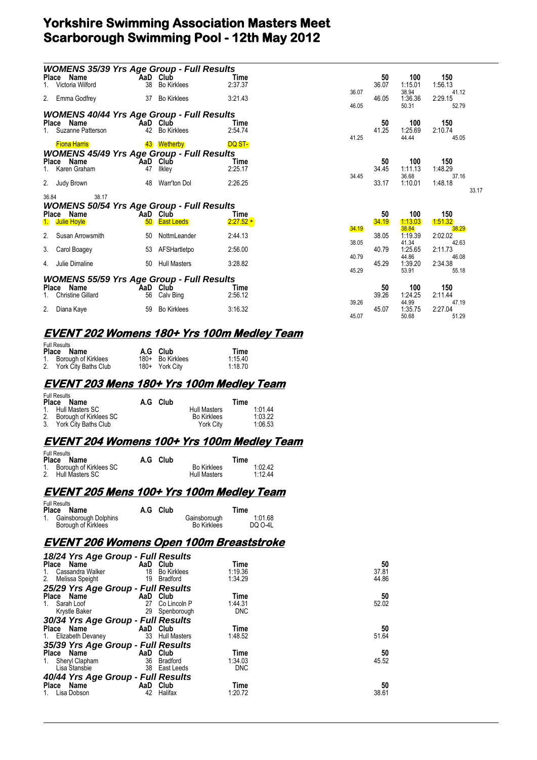| <b>WOMENS 35/39 Yrs Age Group - Full Results</b> |    |                               |                    |       |             |                  |                  |       |
|--------------------------------------------------|----|-------------------------------|--------------------|-------|-------------|------------------|------------------|-------|
| Place Name                                       |    | AaD Club                      | Time               |       | 50          | 100              | 150              |       |
| Victoria Wilford                                 | 38 | <b>Bo Kirklees</b>            | 2:37.37            |       | 36.07       | 1:15.01          | 1:56.13          |       |
| 2. Emma Godfrey                                  |    | 37 Bo Kirklees                | 3:21.43            | 36.07 | 46.05       | 38.94<br>1:36.36 | 41.12<br>2:29.15 |       |
|                                                  |    |                               |                    | 46.05 |             | 50.31            | 52.79            |       |
| <b>WOMENS 40/44 Yrs Age Group - Full Results</b> |    |                               |                    |       |             |                  |                  |       |
| Place Name                                       |    | AaD Club                      | Time               |       | 50          | 100              | 150              |       |
| 1. Suzanne Patterson                             | 42 | <b>Bo Kirklees</b>            | 2:54.74            |       | 41.25       | 1:25.69          | 2:10.74          |       |
|                                                  |    |                               |                    | 41.25 |             | 44.44            | 45.05            |       |
| <b>Fiona Harris</b>                              |    | 43 Wetherby                   | DQ ST-             |       |             |                  |                  |       |
| <b>WOMENS 45/49 Yrs Age Group - Full Results</b> |    |                               |                    |       |             |                  |                  |       |
| Place Name<br>1. Karen Graham                    | 47 | AaD Club<br>llkley            | Time<br>2:25.17    |       | 50<br>34.45 | 100<br>1:11.13   | 150<br>1:48.29   |       |
|                                                  |    |                               |                    | 34.45 |             | 36.68            | 37.16            |       |
| 2. Judy Brown                                    |    | 48 Warr'ton Dol               | 2:26.25            |       | 33.17       | 1:10.01          | 1:48.18          |       |
|                                                  |    |                               |                    |       |             |                  |                  | 33.17 |
| 36.84<br>38.17                                   |    |                               |                    |       |             |                  |                  |       |
| <b>WOMENS 50/54 Yrs Age Group - Full Results</b> |    |                               |                    |       |             |                  |                  |       |
| Place Name<br>1. Julie Hoyle                     | 50 | AaD Club<br><b>East Leeds</b> | Time<br>$2.27.52*$ |       | 50<br>34.19 | 100<br>1:13.03   | 150<br>1.51.32   |       |
|                                                  |    |                               |                    | 34.19 |             | 38.84            | 38.29            |       |
| Susan Arrowsmith<br>2.                           | 50 | NottmLeander                  | 2:44.13            |       | 38.05       | 1:19.39          | 2:02.02          |       |
|                                                  |    |                               |                    | 38.05 |             | 41.34            | 42.63            |       |
| 3.<br>Carol Boagey                               | 53 | AFSHartletpo                  | 2:56.00            |       | 40.79       | 1:25.65          | 2:11.73          |       |
| 4. Julie Dimaline                                | 50 | <b>Hull Masters</b>           | 3:28.82            | 40.79 | 45.29       | 44.86<br>1:39.20 | 46.08<br>2:34.38 |       |
|                                                  |    |                               |                    | 45.29 |             | 53.91            | 55.18            |       |
| <b>WOMENS 55/59 Yrs Age Group - Full Results</b> |    |                               |                    |       |             |                  |                  |       |
| Place Name                                       |    | AaD Club                      | Time               |       | 50          | 100              | 150              |       |
| <b>Christine Gillard</b>                         | 56 | Calv Bing                     | 2:56.12            |       | 39.26       | 1:24.25          | 2:11.44          |       |
|                                                  |    |                               |                    | 39.26 |             | 44.99            | 47.19            |       |
| 2.<br>Diana Kaye                                 | 59 | <b>Bo Kirklees</b>            | 3:16.32            |       | 45.07       | 1:35.75          | 2:27.04          |       |
|                                                  |    |                               |                    | 45.07 |             | 50.68            | 51.29            |       |

### **EVENT 202 Womens 180+ Yrs 100m Medley Team**

| <b>Full Results</b>     |                  |         |
|-------------------------|------------------|---------|
| Place Name              | A.G Club         | Time    |
| 1. Borough of Kirklees  | 180+ Bo Kirklees | 1:15.40 |
| 2. York City Baths Club | 180+ York City   | 1:18.70 |

#### **EVENT 203 Mens 180+ Yrs 100m Medley Team**

| Full Results<br>Place Name | A.G Club |                     | Time    |
|----------------------------|----------|---------------------|---------|
| 1. Hull Masters SC         |          | <b>Hull Masters</b> | 1.0144  |
| 2. Borough of Kirklees SC  |          | <b>Bo Kirklees</b>  | 1:03.22 |
| 3. York City Baths Club    |          | York City           | 1:06.53 |

### **EVENT 204 Womens 100+ Yrs 100m Medley Team**

| <b>Full Results</b> |                           |  |          |                     |         |  |  |
|---------------------|---------------------------|--|----------|---------------------|---------|--|--|
|                     | Place Name                |  | A.G Club |                     | Time    |  |  |
|                     | 1. Borough of Kirklees SC |  |          | <b>Bo Kirklees</b>  | 1:02.42 |  |  |
|                     | 2. Hull Masters SC        |  |          | <b>Hull Masters</b> | 1.1244  |  |  |

### **EVENT 205 Mens 100+ Yrs 100m Medley Team**

| <b>Full Results</b>                             |  |          |                                    |                    |  |  |
|-------------------------------------------------|--|----------|------------------------------------|--------------------|--|--|
| Place Name                                      |  | A.G Club |                                    | Time               |  |  |
| 1. Gainsborough Dolphins<br>Borough of Kirklees |  |          | Gainsborough<br><b>Bo Kirklees</b> | 1:01.68<br>DQ 0-4L |  |  |

### **EVENT 206 Womens Open 100m Breaststroke**

| 18/24 Yrs Age Group - Full Results                                                                            |          |               |            |       |
|---------------------------------------------------------------------------------------------------------------|----------|---------------|------------|-------|
| <b>Example 2</b> AaD Club<br>Place Name                                                                       |          |               | Time       | 50    |
| Cassandra Walker 18 Bo Kirklees<br>1.                                                                         |          |               | 1:19.36    | 37.81 |
| 2. Melissa Speight                                                                                            |          | 19 Bradford   | 1:34.29    | 44.86 |
| 25/29 Yrs Age Group - Full Results                                                                            |          |               |            |       |
| Place Name                                                                                                    | AaD Club |               | Time       | 50    |
| 1. Sarah Loof 27 Co Lincoln P                                                                                 |          |               | 1:44.31    | 52.02 |
| Krystle Baker 29 Spenborough                                                                                  |          |               | <b>DNC</b> |       |
| 30/34 Yrs Age Group - Full Results                                                                            |          |               |            |       |
| Place Name and the state of the state of the state of the state of the state of the state of the state of the | AaD Club |               | Time       | 50    |
| 1. Elizabeth Devaney 33 Hull Masters                                                                          |          |               | 1:48.52    | 51.64 |
| 35/39 Yrs Age Group - Full Results                                                                            |          |               |            |       |
| <b>Example 2</b> AaD Club<br>Place Name                                                                       |          |               | Time       | 50    |
| Sheryl Clapham<br>1.                                                                                          |          | 36 Bradford   | 1:34.03    | 45.52 |
| Lisa Stansbie                                                                                                 |          | 38 East Leeds | <b>DNC</b> |       |
| 40/44 Yrs Age Group - Full Results                                                                            |          |               |            |       |
| <b>Example 2</b> AaD Club<br>Place Name                                                                       |          |               | Time       | 50    |
| 1. Lisa Dobson                                                                                                |          | 42 Halifax    | 1:20.72    | 38.61 |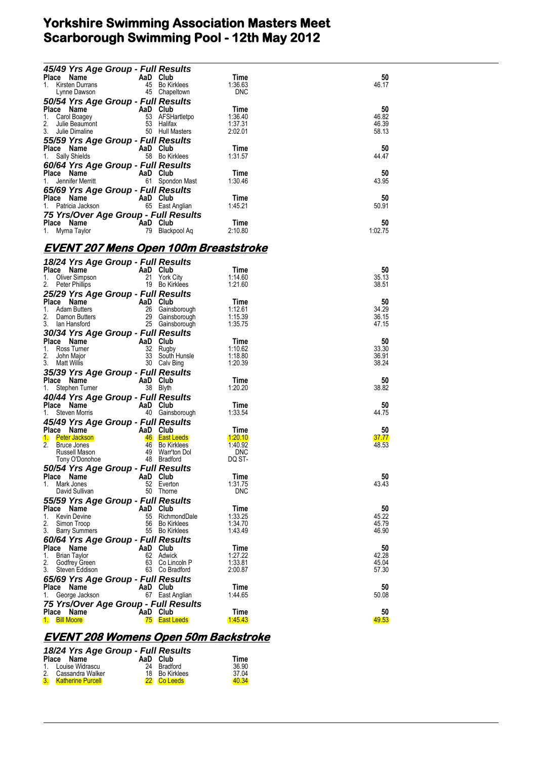| 45/49 Yrs Age Group - Full Results                                  |                                                                          |                       |                |
|---------------------------------------------------------------------|--------------------------------------------------------------------------|-----------------------|----------------|
| Place Name                                                          | AaD Club                                                                 | Time                  | 50             |
| 1. Kirsten Durrans                                                  | 45 Bo Kirklees<br>45 Chapeltown                                          | 1:36.63<br><b>DNC</b> | 46.17          |
| Lynne Dawson                                                        |                                                                          |                       |                |
| 50/54 Yrs Age Group - Full Results                                  |                                                                          | Time                  | 50             |
| Place Name<br>1. Carol Boagey<br>1. Carol Boagey<br>53 AFSHartletpo |                                                                          | 1:36.40               | 46.82          |
| 2.<br>Julie Beaumont<br>Julie Dimaline                              | 53 Halifax                                                               | 1:37.31               | 46.39          |
| 3.<br>Julie Dimaline                                                | 50 Hull Masters                                                          | 2:02.01               | 58.13          |
| 55/59 Yrs Age Group - Full Results                                  |                                                                          |                       |                |
| Place Name                                                          | AaD Club                                                                 | Time                  | 50             |
| 1. Sally Shields                                                    | 58 Bo Kirklees                                                           | 1:31.57               | 44.47          |
| 60/64 Yrs Age Group - Full Results                                  |                                                                          |                       |                |
| Place Name                                                          | AaD Club                                                                 | Time                  | 50             |
| Jennifer Merritt<br>1.                                              | 61 Spondon Mast                                                          | 1:30.46               | 43.95          |
| 65/69 Yrs Age Group - Full Results                                  |                                                                          |                       |                |
| Place Name<br>AaD Club<br>1.                                        | 65 East Anglian                                                          | Time<br>1:45.21       | 50<br>50.91    |
| Patricia Jackson                                                    |                                                                          |                       |                |
| 75 Yrs/Over Age Group - Full Results<br>Place Name                  |                                                                          | Time                  | 50             |
| AaD Club <sup>-</sup><br>79 Blackr<br>1. Myrna Taylor               | 79 Blackpool Aq                                                          | 2:10.80               | 1:02.75        |
|                                                                     |                                                                          |                       |                |
| <u>EVENT 207 Mens Open 100m Breaststroke</u>                        |                                                                          |                       |                |
|                                                                     |                                                                          |                       |                |
| 18/24 Yrs Age Group - Full Results                                  |                                                                          |                       |                |
| Place Name<br><b>Example 2</b> AaD Club                             | 21 York City                                                             | Time                  | 50             |
| 1.<br>Oliver Simpson<br>Peter Phillips                              | 19 Bo Kirklees                                                           | 1:14.60<br>1:21.60    | 35.13<br>38.51 |
| 25/29 Yrs Age Group - Full Results                                  |                                                                          |                       |                |
| Place Name                                                          |                                                                          | Time                  | 50             |
| 1.<br><b>Adam Butters</b>                                           | <b>AaD Club</b><br>26 Gainsborough<br>29 Gainsborough<br>25 Gainsborough | 1:12.61               | 34.29          |
| Damon Butters                                                       |                                                                          | 1:15.39               | 36.15          |
| 3. Ian Hansford                                                     | 25 Gainsborough                                                          | 1:35.75               | 47.15          |
| 30/34 Yrs Age Group - Full Results                                  |                                                                          |                       |                |
| Place Name<br>e e controllador.<br>Controllador                     | AaD Club                                                                 | Time                  | 50             |
| 1. Ross Tumer<br>2.                                                 | 32 Rugby<br>33 South Hunsle                                              | 1:10.62<br>1:18.80    | 33.30<br>36.91 |
| John Major<br>3. Matt Willis                                        | 30 Calv Bing                                                             | 1:20.39               | 38.24          |
| 35/39 Yrs Age Group - Full Results                                  |                                                                          |                       |                |
| Place Name                                                          |                                                                          | Time                  | 50             |
| ce Name<br>Stephen Turner <b>AaD</b> Club<br>38 Blyth<br>1.         |                                                                          | 1:20.20               | 38.82          |
| 40/44 Yrs Age Group - Full Results                                  |                                                                          |                       |                |
| Place Name                                                          | AaD Club                                                                 | Time                  | 50             |
| 1.<br>Steven Morris                                                 | 40 Gainsborough                                                          | 1:33.54               | 44.75          |
| 45/49 Yrs Age Group - Full Results                                  |                                                                          |                       |                |
| Place Name                                                          | AaD Club                                                                 | Time                  | 50             |
| 1. Peter Jackson<br>2.                                              | 46 East Leeds<br>46 Bo Kirklees                                          | 1.20.10<br>1:40.92    | 37.77<br>48.53 |
| Bruce Jones<br>Russell Mason                                        | 49 Warr'ton Dol                                                          | <b>DNC</b>            |                |
| Tony O'Donohoe                                                      | 48 Bradford                                                              | DQ ST-                |                |
| 50/54 Yrs Age Group - Full Results                                  |                                                                          |                       |                |
| Place Name                                                          | AaD Club                                                                 | Time                  | 50             |
| Mark Jones<br>1.                                                    | 52 Everton                                                               | 1:31.75               | 43.43          |
| David Sullivan                                                      | 50<br>Thorne                                                             | <b>DNC</b>            |                |
| 55/59 Yrs Age Group - Full Results                                  |                                                                          |                       |                |
| Place Name                                                          | AaD Club                                                                 | Time                  | 50             |
| <b>Kevin Devine</b><br>1.<br>2.<br>Simon Troop                      | RichmondDale<br>55<br>56<br><b>Bo Kirklees</b>                           | 1:33.25<br>1:34.70    | 45.22<br>45.79 |
| 3.<br><b>Barry Summers</b>                                          | 55 Bo Kirklees                                                           | 1:43.49               | 46.90          |
| 60/64 Yrs Age Group - Full Results                                  |                                                                          |                       |                |
| Place Name                                                          | AaD<br>Club                                                              | Time                  | 50             |
| <b>Brian Taylor</b><br>1.                                           | 62 Adwick                                                                | 1:27.22               | 42.28          |
| 2.<br>Godfrey Green                                                 | 63<br>Co Lincoln P                                                       | 1:33.81               | 45.04          |
| 3.<br>Steven Eddison                                                | 63 Co Bradford                                                           | 2:00.87               | 57.30          |
| 65/69 Yrs Age Group - Full Results                                  |                                                                          |                       |                |
| Place Name<br>George Jackson<br>1.                                  | AaD Club<br>67 East Anglian                                              | Time<br>1:44.65       | 50<br>50.08    |
| 75 Yrs/Over Age Group - Full Results                                |                                                                          |                       |                |
| Place Name                                                          | AaD Club                                                                 | Time                  | 50             |
| 1. Bill Moore                                                       | <b>75</b> East Leeds                                                     | <u> 1:45.43</u>       | 49.53          |
|                                                                     |                                                                          |                       |                |

### **EVENT 208 Womens Open 50m Backstroke**

| 18/24 Yrs Age Group - Full Results |                      |                |       |
|------------------------------------|----------------------|----------------|-------|
|                                    | Place Name           | AaD Club       | Time  |
|                                    | 1. Louise Widrascu   | 24 Bradford    | 36.90 |
|                                    | 2. Cassandra Walker  | 18 Bo Kirklees | 37.04 |
|                                    | 3. Katherine Purcell | 22 Co Leeds    | 40.34 |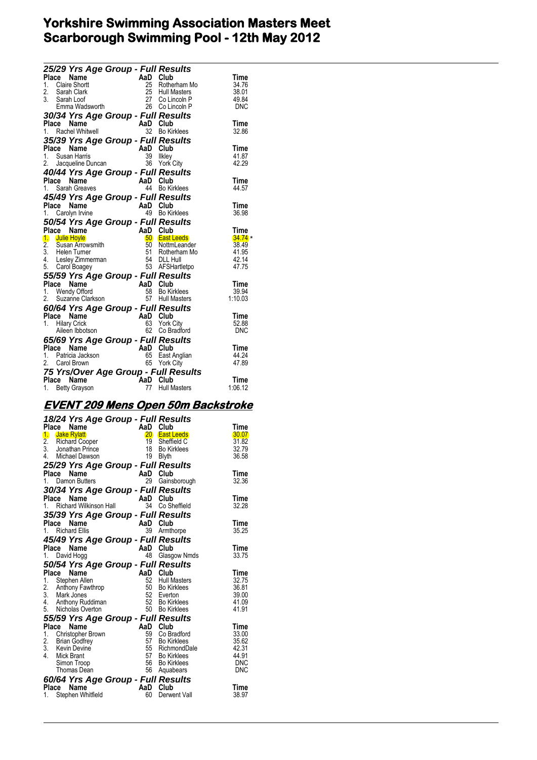\*

| 25/29 Yrs Age Group - Full Results<br>Example 19<br>Claire Short <b>AaD Club</b><br>Claire Short 25 Hull M<br>Sarah Loof 25 Hull M<br>Sarah Loof 27 Co Lin<br>Emma Wadsworth 26 Co Lin<br>26 Co Lin<br>27 A Vare 1 |          |                                    |               |
|--------------------------------------------------------------------------------------------------------------------------------------------------------------------------------------------------------------------|----------|------------------------------------|---------------|
| Place<br>1. Claire Shortt                                                                                                                                                                                          |          | 25 Rotherham Mo                    | Time<br>34.76 |
| 2. Sarah Clark                                                                                                                                                                                                     |          | 25 Hull Masters                    | 38.01         |
| 3. Sarah Loof                                                                                                                                                                                                      |          |                                    | 49.84         |
|                                                                                                                                                                                                                    |          | 27 Co Lincoln P<br>26 Co Lincoln P | <b>DNC</b>    |
| 30/34 Yrs Age Group - Full Results                                                                                                                                                                                 |          |                                    |               |
| Place Name                                                                                                                                                                                                         | AaD Club |                                    | Time          |
| 1. Rachel Whitwell                                                                                                                                                                                                 |          | 32 Bo Kirklees                     | 32.86         |
| 35/39 Yrs Age Group - Full Results                                                                                                                                                                                 |          |                                    |               |
| Place Name                                                                                                                                                                                                         | AaD Club |                                    | Time          |
| 1. Susan Harris                                                                                                                                                                                                    |          | 39 Ilkley                          | 41.87         |
| 2. Jacqueline Duncan                                                                                                                                                                                               |          | 36 York City                       | 42.29         |
| 40/44 Yrs Age Group - Full Results                                                                                                                                                                                 |          |                                    |               |
| Place Name                                                                                                                                                                                                         | AaD Club |                                    | Time          |
| 1. Sarah Greaves                                                                                                                                                                                                   | 44       | <b>Bo Kirklees</b>                 | 44.57         |
| 45/49 Yrs Age Group - Full Results                                                                                                                                                                                 |          |                                    |               |
| Place Name                                                                                                                                                                                                         | AaD Club |                                    | Time          |
| 1.<br>Carolyn Irvine                                                                                                                                                                                               |          | 49 Bo Kirklees                     | 36.98         |
| 50/54 Yrs Age Group - Full Results                                                                                                                                                                                 |          |                                    |               |
| Place Name                                                                                                                                                                                                         | AaD Club |                                    | Time          |
| 1. Julie Hoyle                                                                                                                                                                                                     |          | 50 East Leeds                      | 34.74         |
| 1. Julie Hoyle<br>2. Susan Arrowsmith                                                                                                                                                                              |          | 50 NottmLeander                    | 38.49         |
|                                                                                                                                                                                                                    |          | 51 Rotherham Mo                    | 41.95         |
|                                                                                                                                                                                                                    |          |                                    | 42.14         |
| 2. Substitution of the contract of the SA DLL Hull<br>4. Lesley Zimmerman 54 DLL Hull<br>5. Carol Boagey 53 AFSHartletpo                                                                                           |          |                                    | 47.75         |
| 55/59 Yrs Age Group - Full Results                                                                                                                                                                                 |          |                                    |               |
| Place Name<br>1. Wendy Offord<br>2. Suzanne Clarkson<br>2. Suzanne Clarkson<br>57 Hull Masters                                                                                                                     |          |                                    | Time          |
|                                                                                                                                                                                                                    |          |                                    | 39.94         |
|                                                                                                                                                                                                                    |          |                                    | 1:10.03       |
| 60/64 Yrs Age Group - Full Results                                                                                                                                                                                 |          |                                    |               |
| Place Name                                                                                                                                                                                                         | AaD Club |                                    | Time          |
| 1. Hilary Crick                                                                                                                                                                                                    |          | 63 York City                       | 52.88         |
| Aileen Ibbotson                                                                                                                                                                                                    |          | 62 Co Bradford                     | <b>DNC</b>    |
| 65/69 Yrs Age Group - Full Results                                                                                                                                                                                 |          |                                    |               |
| Place Name                                                                                                                                                                                                         | AaD Club |                                    | Time          |
| 1. Patricia Jackson                                                                                                                                                                                                |          | 65 East Anglian                    | 44.24         |
| 2. Carol Brown                                                                                                                                                                                                     |          | 65 York City                       | 47.89         |
| 75 Yrs/Over Age Group - Full Results                                                                                                                                                                               |          |                                    |               |
| Place<br>Name                                                                                                                                                                                                      | `AaD     | Club                               | Time          |
| 1. Betty Grayson                                                                                                                                                                                                   | 77       | <b>Hull Masters</b>                | 1:06.12       |

## **EVENT 209 Mens Open 50m Backstroke**

|         | 18/24 Yrs Age Group - Full Results<br>Place<br>Name  | AaD Club        |                              | Time           |
|---------|------------------------------------------------------|-----------------|------------------------------|----------------|
|         | 1. Jake Rylatt                                       |                 | 20 East Leeds                | 30.07          |
|         |                                                      | 19              | Sheffield C                  | 31.82          |
|         | 2. Richard Cooper<br>3. Jonathan Prince              |                 | 18 Bo Kirklees               | 32.79          |
|         | 4. Michael Dawson                                    |                 | 19 Blyth                     | 36.58          |
|         | 25/29 Yrs Age Group - Full Results                   |                 |                              |                |
| Place   | Name                                                 | AaD Club        |                              | Time           |
|         | 1. Damon Butters                                     |                 | 29 Gainsborough              | 32.36          |
|         | 30/34 Yrs Age Group - Full Results                   |                 |                              |                |
|         | Place<br>Name                                        | AaD             | Club                         | Time           |
| $1_{-}$ | Richard Wilkinson Hall                               | 34              | Co Sheffield                 | 32.28          |
|         |                                                      |                 |                              |                |
|         | 35/39 Yrs Age Group - Full Results<br>Name<br>Place  | AaD Club        |                              | Time           |
|         | 1. Richard Ellis                                     | 39              | Armthorpe                    | 35.25          |
|         |                                                      |                 |                              |                |
|         | 45/49 Yrs Age Group - Full Results                   |                 |                              |                |
|         | Place<br>Name                                        | AaD<br>48       | Club                         | Time           |
| 1.      | David Hogg                                           |                 | Glasgow Nmds                 | 33.75          |
|         | 50/54 Yrs Age Group - Full Results                   |                 |                              |                |
|         | Place<br><b>Name</b>                                 | AaD Club        |                              | Time           |
|         | 1. Stephen Allen                                     | 52              | <b>Hull Masters</b>          | 32.75          |
|         | 2. Anthony Fawthrop<br>3. Mark Jones                 |                 | 50 Bo Kirklees<br>52 Everton | 36.81<br>39.00 |
|         | 4. Anthony Ruddiman                                  |                 | 52 Bo Kirklees               | 41.09          |
|         | 5. Nicholas Overton                                  |                 | 50 Bo Kirklees               | 41.91          |
|         | 55/59 Yrs Age Group - Full Results                   |                 |                              |                |
| Place   | Name                                                 | <b>AaD</b> Club |                              | Time           |
|         | 1. Christopher Brown                                 | 59              | Co Bradford                  | 33.00          |
|         |                                                      | 57              | Bo Kirklees                  | 35.62          |
|         | 2. Brian Godfrey<br>3. Kevin Devine<br>4. Mick Brant |                 | 55 RichmondDale              | 42.31          |
|         |                                                      |                 | 57 Bo Kirklees               | 44.91          |
|         | Simon Troop                                          |                 | 56 Bo Kirklees               | <b>DNC</b>     |
|         | Thomas Dean                                          |                 | 56 Aquabears                 | <b>DNC</b>     |
|         | 60/64 Yrs Age Group - Full Results                   |                 |                              |                |
|         | Place Name                                           | AaD Club        |                              | Time           |
|         | 1. Stephen Whitfield                                 | 60              | Derwent Vall                 | 38.97          |
|         |                                                      |                 |                              |                |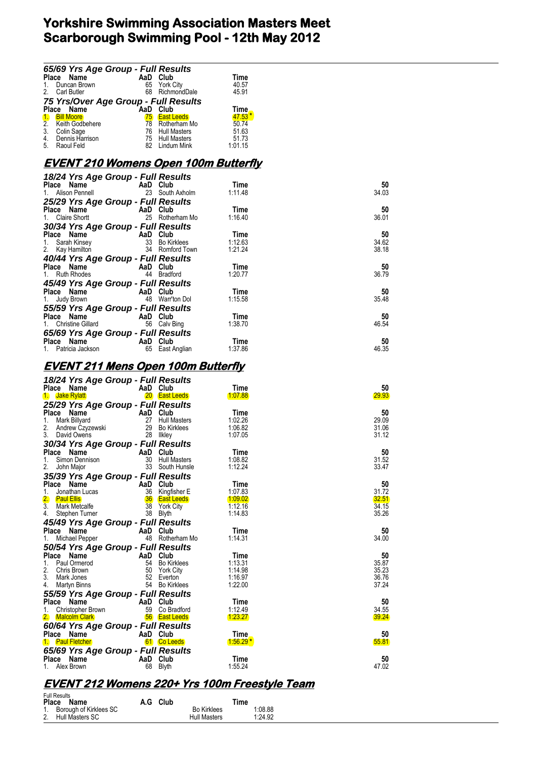|                | 65/69 Yrs Age Group - Full Results                          |     |                     |             |  |  |  |  |
|----------------|-------------------------------------------------------------|-----|---------------------|-------------|--|--|--|--|
|                | Place Name                                                  | AaD | Club                | <b>Time</b> |  |  |  |  |
|                | Duncan Brown                                                |     | 65 York City        | 40.57       |  |  |  |  |
| 2 <sub>1</sub> | <b>Carl Butler</b>                                          | 68  | RichmondDale        | 45.91       |  |  |  |  |
|                | 75 Yrs/Over Age Group - Full Results<br>Place Name AaD Club |     |                     |             |  |  |  |  |
|                |                                                             |     |                     | <b>Time</b> |  |  |  |  |
|                | <b>Bill Moore</b>                                           | 75  | <b>East Leeds</b>   | $47.53*$    |  |  |  |  |
| $\frac{1}{2}$  | Keith Godbehere                                             | 78  | Rotherham Mo        | 50.74       |  |  |  |  |
| 3.             | Colin Sage                                                  | 76  | <b>Hull Masters</b> | 51.63       |  |  |  |  |
| 4.             | Dennis Harrison                                             | 75  | <b>Hull Masters</b> | 51.73       |  |  |  |  |
| 5.             | Raoul Feld                                                  |     | Lindum Mink         | 1:01.15     |  |  |  |  |

### **EVENT 210 Womens Open 100m Butterfly**

| 18/24 Yrs Age Group - Full Results                                                                                       |                                    |                 |         |       |  |  |  |  |
|--------------------------------------------------------------------------------------------------------------------------|------------------------------------|-----------------|---------|-------|--|--|--|--|
| Place Name                                                                                                               | AaD Club                           |                 | Time    | 50    |  |  |  |  |
| 1. Alison Pennell                                                                                                        |                                    | 23 South Axholm | 1:11.48 | 34.03 |  |  |  |  |
| 25/29 Yrs Age Group - Full Results                                                                                       |                                    |                 |         |       |  |  |  |  |
| Place Name                                                                                                               | AaD Club                           |                 | Time    | 50    |  |  |  |  |
| 1. Claire Shortt                                                                                                         |                                    | 25 Rotherham Mo | 1:16.40 | 36.01 |  |  |  |  |
| 30/34 Yrs Age Group - Full Results                                                                                       |                                    |                 |         |       |  |  |  |  |
| Place Name                                                                                                               | AaD Club                           |                 | Time    | 50    |  |  |  |  |
|                                                                                                                          |                                    |                 | 1:12.63 | 34.62 |  |  |  |  |
|                                                                                                                          |                                    | 34 Romford Town | 1:21.24 | 38.18 |  |  |  |  |
|                                                                                                                          | 40/44 Yrs Age Group - Full Results |                 |         |       |  |  |  |  |
| Place Name                                                                                                               | AaD Club                           |                 | Time    | 50    |  |  |  |  |
| 1. Ruth Rhodes                                                                                                           | 44                                 | Bradford        | 1:20.77 | 36.79 |  |  |  |  |
| 45/49 Yrs Age Group - Full Results                                                                                       |                                    |                 |         |       |  |  |  |  |
| Place Name<br><b>AaD</b> Club                                                                                            |                                    |                 | Time    | 50    |  |  |  |  |
| 1. Judy Brown                                                                                                            |                                    | 48 Warr'ton Dol | 1:15.58 | 35.48 |  |  |  |  |
| 55/59 Yrs Age Group - Full Results                                                                                       |                                    |                 |         |       |  |  |  |  |
| Place Name                                                                                                               | AaD Club                           |                 | Time    | 50    |  |  |  |  |
| <b>Christine Gillard</b>                                                                                                 |                                    | 56 Calv Bing    | 1:38.70 | 46.54 |  |  |  |  |
| 65/69 Yrs Age Group - Full Results                                                                                       |                                    |                 |         |       |  |  |  |  |
| Name and the state of the state of the state of the state of the state of the state of the state of the state o<br>Place | AaD Club                           |                 | Time    | 50    |  |  |  |  |
| 1. Patricia Jackson                                                                                                      |                                    | 65 East Anglian | 1:37.86 | 46.35 |  |  |  |  |

#### **EVENT 211 Mens Open 100m Butterfly**

| 18/24 Yrs Age Group - Full Results                                  |          |                      |            |       |
|---------------------------------------------------------------------|----------|----------------------|------------|-------|
| Place Name                                                          | AaD Club |                      | Time       | 50    |
| 1. Jake Rylatt                                                      |          | 20 East Leeds        | 1:07.88    | 29.93 |
| 25/29 Yrs Age Group - Full Results                                  |          |                      |            |       |
| Place<br>Name                                                       | AaD Club |                      | Time       | 50    |
| 1.<br>Mark Billyard                                                 | 27       | <b>Hull Masters</b>  | 1:02.26    | 29.09 |
| 2.<br>Andrew Czyzewski                                              | 29       | Bo Kirklees          | 1:06.82    | 31.06 |
| 3.<br>David Owens                                                   | 28       | likley               | 1:07.05    | 31.12 |
| 30/34 Yrs Age Group - Full Results                                  |          |                      |            |       |
| Place Name                                                          | AaD Club |                      | Time       | 50    |
| Simon Dennison<br>1.                                                | 30       | Hull Masters         | 1:08.82    | 31.52 |
| 2.<br>John Major                                                    |          | 33 South Hunsle      | 1:12.24    | 33.47 |
| 35/39 Yrs Age Group - Full Results                                  |          |                      |            |       |
| Place<br>Name                                                       | AaD Club |                      | Time       | 50    |
| 1.<br>Jonathan Lucas                                                |          | 36 Kingfisher E      | 1:07.83    | 31.72 |
| 2.<br><b>Paul Ellis</b>                                             |          | <b>36</b> East Leeds | 1.09.02    | 32.51 |
| $\overline{3}$ .<br>Mark Metcalfe                                   | 38       | York City            | 1:12.16    | 34.15 |
| 4.<br>Stephen Turner                                                | 38       | <b>Blyth</b>         | 1:14.83    | 35.26 |
| 4. Stephen Tunisi<br>45/49 Yrs Age Group - Full Results<br>AaD Club |          |                      |            |       |
|                                                                     |          |                      | Time       | 50    |
| Michael Pepper                                                      |          | 48 Rotherham Mo      | 1:14.31    | 34.00 |
| 50/54 Yrs Age Group - Full Results                                  |          |                      |            |       |
| Place<br>Name                                                       | AaD Club |                      | Time       | 50    |
| 1.<br>Paul Ormerod                                                  | 54       | Bo Kirklees          | 1:13.31    | 35.87 |
| 2.<br>Chris Brown                                                   | 50       | York City            | 1:14.98    | 35.23 |
| 3.<br>Mark Jones                                                    | 52       | Everton              | 1:16.97    | 36.76 |
| 4. Martyn Binns                                                     |          | 54 Bo Kirklees       | 1:22.00    | 37.24 |
| 55/59 Yrs Age Group - Full Results                                  |          |                      |            |       |
| <b>Place</b><br>Name                                                | AaD Club |                      | Time       | 50    |
| Christopher Brown<br>1.                                             | 59       | Co Bradford          | 1:12.49    | 34.55 |
| 2. Malcolm Clark                                                    |          | <b>56 East Leeds</b> | 1.23.27    | 39.24 |
| 60/64 Yrs Age Group - Full Results                                  |          |                      |            |       |
| <b>Place</b><br>Name                                                | AaD Club |                      | Time       | 50    |
| <b>Paul Fletcher</b>                                                |          | 61 Co Leeds          | $1.56.29*$ | 55.81 |
| 65/69 Yrs Age Group - Full Results                                  |          |                      |            |       |
| Place<br>Name                                                       | AaD Club |                      | Time       | 50    |
| Alex Brown                                                          | 68       | Blyth                | 1:55.24    | 47.02 |
|                                                                     |          |                      |            |       |

# **EVENT 212 Womens 220+ Yrs 100m Freestyle Team**

| <b>Full Results</b>       |  |          |                     |         |  |  |
|---------------------------|--|----------|---------------------|---------|--|--|
| Place Name                |  | A.G Club |                     | Time    |  |  |
| 1. Borough of Kirklees SC |  |          | <b>Bo Kirklees</b>  | 1:08.88 |  |  |
| 2. Hull Masters SC        |  |          | <b>Hull Masters</b> | 1:24.92 |  |  |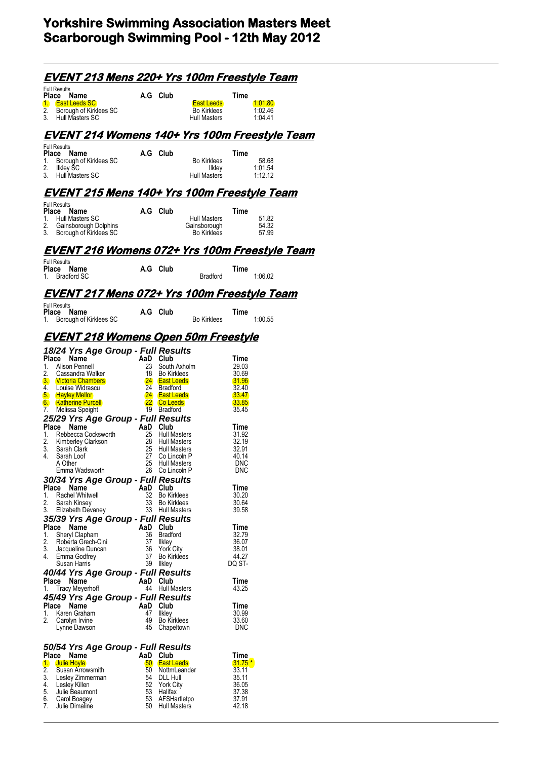|                                                                                                                         | <u>EVENT 213 Mens 220+ Yrs 100m Freestyle Team</u>   |           |                                            |                                                         |                     |                                 |  |
|-------------------------------------------------------------------------------------------------------------------------|------------------------------------------------------|-----------|--------------------------------------------|---------------------------------------------------------|---------------------|---------------------------------|--|
| <b>Full Results</b><br>Place<br>Name                                                                                    |                                                      |           | A.G Club                                   |                                                         | Time                |                                 |  |
| $\mathbf{L}$<br><b>East Leeds SC</b><br>2.<br>Borough of Kirklees SC<br>3.<br>Hull Masters SC                           |                                                      |           |                                            | <b>East Leeds</b><br><b>Bo Kirklees</b><br>Hull Masters |                     | (1:01.80)<br>1:02.46<br>1:04:41 |  |
|                                                                                                                         | <u>EVENT 214 Womens 140+ Yrs 100m Freestyle Team</u> |           |                                            |                                                         |                     |                                 |  |
| <b>Full Results</b><br>Place<br>Name<br>1.<br>Borough of Kirklees SC<br>2.<br><b>IIkley SC</b><br>Hull Masters SC<br>3. |                                                      |           | A.G Club                                   | <b>Bo Kirklees</b><br>likley<br>Hull Masters            | Time                | 58.68<br>1:01.54<br>1:12.12     |  |
|                                                                                                                         | <u>EVENT 215 Mens 140+ Yrs 100m Freestyle Team</u>   |           |                                            |                                                         |                     |                                 |  |
| <b>Full Results</b><br>Place<br>Name<br>Hull Masters SC<br>1.<br>2.<br>3.<br>Borough of Kirklees SC                     | Gainsborough Dolphins                                |           | A.G Club                                   | Hull Masters<br>Gainsborough<br><b>Bo Kirklees</b>      | Time                | 51.82<br>54.32<br>57.99         |  |
| <b>Full Results</b>                                                                                                     | <u>EVENT 216 Womens 072+ Yrs 100m Freestyle Team</u> |           |                                            |                                                         |                     |                                 |  |
| Place Name<br>$1_{-}$<br><b>Bradford SC</b>                                                                             |                                                      |           | A.G Club                                   | Bradford                                                | Time                | 1:06.02                         |  |
|                                                                                                                         | EVENT 217 Mens 072+ Yrs 100m Freestyle Team          |           |                                            |                                                         |                     |                                 |  |
| <b>Full Results</b><br>Place<br>Name<br>Borough of Kirklees SC<br>1.                                                    |                                                      |           | A.G Club                                   | <b>Bo Kirklees</b>                                      | Time                | 1:00.55                         |  |
|                                                                                                                         | <u>EVENT 218 Womens Open 50m Freestyle</u>           |           |                                            |                                                         |                     |                                 |  |
|                                                                                                                         | 18/24 Yrs Age Group - Full Results                   |           |                                            |                                                         |                     |                                 |  |
| Place<br>Name<br>1.<br>Alison Pennell                                                                                   |                                                      | AaD<br>23 | Club<br>South Axholm                       |                                                         | Time<br>29.03       |                                 |  |
| 2.<br>Cassandra Walker<br>3. Victoria Chambers                                                                          |                                                      | 18        | <b>Bo Kirklees</b><br>24 East Leeds        |                                                         | 30.69<br>31.96      |                                 |  |
| 4.<br>Louise Widrascu<br>5.<br><b>Hayley Mellor</b>                                                                     |                                                      | 24        | <b>Bradford</b><br>24 East Leeds           |                                                         | 32.40<br>33.47      |                                 |  |
| 6.<br><u>Katherine Purcell</u><br>7.<br>Melissa Speight                                                                 |                                                      |           | 22 Co Leeds<br>19 Bradford                 |                                                         | 33.85<br>35.45      |                                 |  |
|                                                                                                                         | 25/29 Yrs Age Group - Full Results                   |           |                                            |                                                         |                     |                                 |  |
| Place<br>Name<br>1.<br>Rebbecca Cocksworth                                                                              |                                                      | AaD<br>25 | Club<br><b>Hull Masters</b>                |                                                         | Time<br>31.92       |                                 |  |
| 2.<br>Kimberley Clarkson<br>3.<br>Sarah Clark                                                                           |                                                      | 28<br>25  | <b>Hull Masters</b><br><b>Hull Masters</b> |                                                         | 32.19<br>32.91      |                                 |  |
| 4.<br>Sarah Loof<br>A Other                                                                                             |                                                      | 27<br>25  | Co Lincoln P                               |                                                         | 40.14               |                                 |  |
| Emma Wadsworth                                                                                                          |                                                      |           | Hull Masters<br>26 Co Lincoln P            |                                                         | <b>DNC</b><br>DNC   |                                 |  |
| Place Name                                                                                                              | 30/34 Yrs Age Group - Full Results                   |           | AaD Club                                   |                                                         | Time                |                                 |  |
| Rachel Whitwell<br>1.                                                                                                   |                                                      |           | 32 Bo Kirklees                             |                                                         | 30.20               |                                 |  |
| 2.<br>Sarah Kinsey<br>3.<br>Elizabeth Devaney                                                                           |                                                      |           | 33 Bo Kirklees<br>33 Hull Masters          |                                                         | 30.64<br>39.58      |                                 |  |
|                                                                                                                         | 35/39 Yrs Age Group - Full Results                   |           |                                            |                                                         |                     |                                 |  |
| Place<br>Name<br>1.<br>Sheryl Clapham                                                                                   |                                                      |           | AaD Club<br>36 Bradford                    |                                                         | Time<br>32.79       |                                 |  |
| 2.<br>Roberta Grech-Cini<br>3.<br>Jacqueline Duncan                                                                     |                                                      | 37<br>36  | likley<br><b>York City</b>                 |                                                         | 36.07<br>38.01      |                                 |  |
| 4.<br>Emma Godfrey<br>Susan Harris                                                                                      |                                                      | 37        | Bo Kirklees<br>39 Ilkley                   |                                                         | 44.27<br>DQ ST-     |                                 |  |
|                                                                                                                         | 40/44 Yrs Age Group - Full Results                   |           |                                            |                                                         |                     |                                 |  |
| Place Name<br><b>Tracy Meyerhoff</b><br>1.                                                                              |                                                      |           | AaD Club<br>44 Hull Masters                |                                                         | Time<br>43.25       |                                 |  |
|                                                                                                                         | 45/49 Yrs Age Group - Full Results                   |           |                                            |                                                         |                     |                                 |  |
| Place Name<br>1.<br>Karen Graham                                                                                        |                                                      | 47        | AaD Club<br>likley                         |                                                         | Time<br>30.99       |                                 |  |
| 2.<br>Carolyn Irvine<br>Lynne Dawson                                                                                    |                                                      | 45        | 49 Bo Kirklees<br>Chapeltown               |                                                         | 33.60<br><b>DNC</b> |                                 |  |
| Place<br>Name                                                                                                           | 50/54 Yrs Age Group - Full Results                   |           | AaD Club                                   |                                                         | Time                |                                 |  |
| 1. Julie Hoyle                                                                                                          |                                                      |           | 50 East Leeds                              |                                                         | $31.75*$            |                                 |  |
| 2.<br>Susan Arrowsmith<br>3.<br>Lesley Zimmerman                                                                        |                                                      |           | 50 NottmLeander<br>54 DLL Hull             |                                                         | 33.11<br>35.11      |                                 |  |
| 4.<br>Lesley Killen<br>5.<br>Julie Beaumont                                                                             |                                                      |           | 52 York City<br>53 Halifax                 |                                                         | 36.05<br>37.38      |                                 |  |
| 6.<br>Carol Boagey<br>7.<br>Julie Dimaline                                                                              |                                                      |           | 53 AFSHartletpo<br>50 Hull Masters         |                                                         | 37.91<br>42.18      |                                 |  |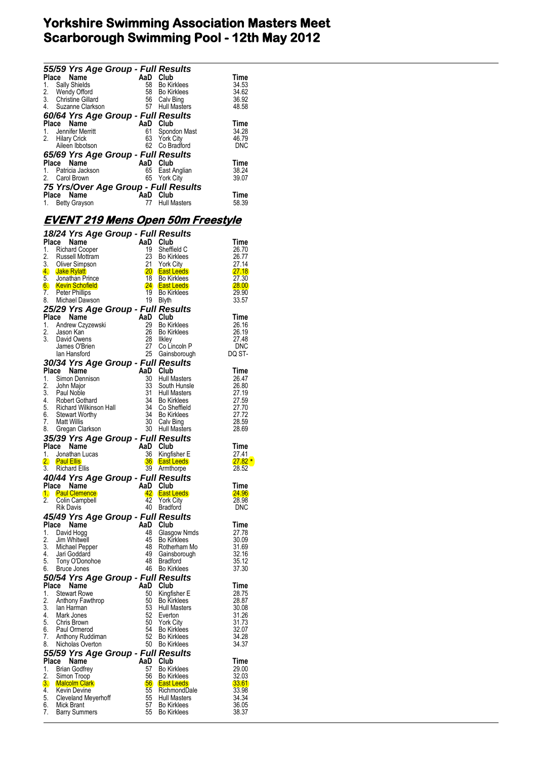|    | 55/59 Yrs Age Group - Full Results                                                                                                                                                                                                                                                         |          |                                        |                |
|----|--------------------------------------------------------------------------------------------------------------------------------------------------------------------------------------------------------------------------------------------------------------------------------------------|----------|----------------------------------------|----------------|
|    | Place Name<br>1. Sally Shields<br>2. Wendy Offord<br>3. Christine Gillard<br>4. Suzanne Clarkson<br>4. Suzanne Clarkson<br>1. Sally Bing<br>57 Hull Masters                                                                                                                                |          |                                        | Time           |
|    |                                                                                                                                                                                                                                                                                            |          |                                        | 34.53          |
|    |                                                                                                                                                                                                                                                                                            |          |                                        | 34.62          |
|    |                                                                                                                                                                                                                                                                                            |          |                                        | 36.92<br>48.58 |
|    |                                                                                                                                                                                                                                                                                            |          |                                        |                |
|    | 60/64 Yrs Age Group - Full Results<br>AaD Club<br>AaD Club<br>61 Spond<br>63 York C                                                                                                                                                                                                        |          |                                        |                |
|    | Place Name<br>1. Jennifer Merritt                                                                                                                                                                                                                                                          |          |                                        | Time<br>34.28  |
|    | 2. Hilary Crick                                                                                                                                                                                                                                                                            |          | 61 Spondon Mast<br>63 York City        | 46.79          |
|    | Aileen Ibbotson                                                                                                                                                                                                                                                                            |          | 62 Co Bradford                         | DNC            |
|    |                                                                                                                                                                                                                                                                                            |          |                                        |                |
|    | 65/69 Yrs Age Group - Full Results                                                                                                                                                                                                                                                         |          |                                        | Time           |
|    |                                                                                                                                                                                                                                                                                            |          | East Anglian                           | 38.24          |
|    |                                                                                                                                                                                                                                                                                            |          | 65 York City                           | 39.07          |
|    | $\begin{array}{ccc}\n1. & \text{Patrie} \\ 2. & \text{Cari B rown}\n\end{array}$<br>$\begin{array}{ccc}\n2. & \text{Cari B rown}\n\end{array}$<br>$\begin{array}{ccc}\n3. & \text{Cix AUC3}\n\end{array}$<br>$\begin{array}{ccc}\n65 & \text{Cix B/N} \\ 65 & \text{Cix C/N}\n\end{array}$ |          |                                        |                |
|    | 75 Yrs/Over Age Group - Full Results<br>Place Name                                                                                                                                                                                                                                         | AaD Club |                                        | <b>Time</b>    |
|    | 1. Betty Grayson                                                                                                                                                                                                                                                                           | 77       | <b>Hull Masters</b>                    | 58.39          |
|    |                                                                                                                                                                                                                                                                                            |          |                                        |                |
|    | <u>EVENT 219 Mens Open 50m Freestyle</u>                                                                                                                                                                                                                                                   |          |                                        |                |
|    |                                                                                                                                                                                                                                                                                            |          |                                        |                |
|    | 18/24 Yrs Age Group - Full Results                                                                                                                                                                                                                                                         |          |                                        |                |
|    | <b>1987</b><br>2. Russell Mottram<br>3. Oliver Simpson<br>4. Jake Rylatt<br>5. Jonathan Prince<br>6. Kevin C                                                                                                                                                                               | AaD Club |                                        | Time           |
|    |                                                                                                                                                                                                                                                                                            | 19       | Sheffield C                            | 26.70          |
|    |                                                                                                                                                                                                                                                                                            | 23       | Bo Kirklees                            | 26.77          |
|    |                                                                                                                                                                                                                                                                                            | 21       | <b>York City</b><br>20 East Leeds      | 27.14<br>27.18 |
|    |                                                                                                                                                                                                                                                                                            |          |                                        | 27.30          |
|    |                                                                                                                                                                                                                                                                                            |          |                                        | 28.00          |
|    |                                                                                                                                                                                                                                                                                            |          |                                        | 29.90          |
|    |                                                                                                                                                                                                                                                                                            |          |                                        | 33.57          |
|    | 3. Uliver United States<br>4. Jake Rylatt<br>5. Jonathan Prince The Teast Leeds<br>7. Peter Phillips<br>7. Peter Phillips<br>7. Peter Phillips<br>7. Peter Phillips<br>7. Peter Phillips<br>7. Peter Phillips<br>7. Peter Phillips<br>7. Peter Ph<br>25/29 Yrs Age Group - Full Results    |          |                                        |                |
|    |                                                                                                                                                                                                                                                                                            |          |                                        | Time           |
|    |                                                                                                                                                                                                                                                                                            |          | 29 Bo Kirklees                         | 26.16          |
|    |                                                                                                                                                                                                                                                                                            |          | 26 Bo Kirklees                         | 26.19          |
|    |                                                                                                                                                                                                                                                                                            |          |                                        | 27.48          |
|    | Place Name Crown - Tail Club<br>1. Andrew Czyzewski 29 Bo Kir<br>2. Jason Kan 26 Bo Kir<br>3. David Owens 28 Ilkley<br>3. David Owens 27 Go Lin<br>1an Hansford 25 Gains                                                                                                                   |          | 27 Co Lincoln P                        | <b>DNC</b>     |
|    | lan Hansford                                                                                                                                                                                                                                                                               |          | 25 Gainsborough                        | DQ ST-         |
|    | <b>30/34 Yrs Age Group - Full Results<br/>Place Name AaD Club<br/>1. Simon Dennison 30 Hull Masters<br/>2. John Major 33 South Hunsle</b>                                                                                                                                                  |          |                                        |                |
|    |                                                                                                                                                                                                                                                                                            |          |                                        | Time           |
|    |                                                                                                                                                                                                                                                                                            |          | 30 Hull Masters                        | 26.47          |
|    |                                                                                                                                                                                                                                                                                            |          | Hull Ividor<br>South Hunsle<br>Masters | 26.80          |
|    |                                                                                                                                                                                                                                                                                            |          |                                        | 27.19          |
|    |                                                                                                                                                                                                                                                                                            |          |                                        | 27.59          |
|    |                                                                                                                                                                                                                                                                                            |          |                                        | 27.70          |
|    |                                                                                                                                                                                                                                                                                            |          |                                        | 27.72<br>28.59 |
|    |                                                                                                                                                                                                                                                                                            |          |                                        | 28.69          |
|    | 1. Simon Demos<br>2. John Major<br>3. Paul Noble<br>4. Robert Gothard<br>5. Richard Wilkinson Hall<br>5. Richard Wilkinson Hall<br>6. Stewart Worthy<br>7. Matt Willis<br>7. Matt Willis<br>8. Gregan Clarkson<br>8. Gregan Clarkson<br>7. The Full<br>35/39 Yrs Age Group - Full Results  |          |                                        |                |
|    | $\frac{1}{26}$ and $\frac{1}{26}$ Club<br>Place Name                                                                                                                                                                                                                                       |          |                                        | Time           |
| 1. | Jonathan Lucas                                                                                                                                                                                                                                                                             |          | Kingfisher E                           | 27.41          |
| 2. | <b>Paul Ellis</b>                                                                                                                                                                                                                                                                          |          | <b>36 East Leeds</b>                   | 27.82          |
|    | 3. Richard Ellis                                                                                                                                                                                                                                                                           |          | 39 Armthorpe                           | 28.52          |
|    | 40/44 Yrs Age Group - Full Results                                                                                                                                                                                                                                                         |          |                                        |                |
|    | Place Name                                                                                                                                                                                                                                                                                 | AaD Club |                                        | Time           |
|    | 1. Paul Clemence                                                                                                                                                                                                                                                                           |          | 42 East Leeds                          | <b>24.96</b>   |
| 2. | Colin Campbell                                                                                                                                                                                                                                                                             | 42       | <b>York City</b>                       | 28.98          |
|    | <b>Rik Davis</b>                                                                                                                                                                                                                                                                           |          | 40 Bradford                            | <b>DNC</b>     |
|    | 45/49 Yrs Age Group - Full Results                                                                                                                                                                                                                                                         |          |                                        |                |
|    | Place Name                                                                                                                                                                                                                                                                                 | AaD Club |                                        | <b>Time</b>    |
| 1. | David Hogg                                                                                                                                                                                                                                                                                 | 48       | Glasgow Nmds                           | 27.78          |
| 2. | Jim Whitwell                                                                                                                                                                                                                                                                               | 45       | <b>Bo Kirklees</b>                     | 30.09          |
| 3. | Michael Pepper                                                                                                                                                                                                                                                                             |          | 48 Rotherham Mo                        | 31.69          |
| 4. | Jari Goddard                                                                                                                                                                                                                                                                               | 49       | Gainsborough                           | 32.16          |
| 5. | Tony O'Donohoe                                                                                                                                                                                                                                                                             | 48       | <b>Bradford</b><br>46 Bo Kirklees      | 35.12          |
|    | 6. Bruce Jones                                                                                                                                                                                                                                                                             |          |                                        | 37.30          |
|    | 50/54 Yrs Age Group - Full Results                                                                                                                                                                                                                                                         |          |                                        |                |
|    | Place Name                                                                                                                                                                                                                                                                                 | AaD Club |                                        | Time           |
| 1. | <b>Stewart Rowe</b>                                                                                                                                                                                                                                                                        | 50       | Kingfisher E                           | 28.75          |
| 2. | Anthony Fawthrop                                                                                                                                                                                                                                                                           | 53       | 50 Bo Kirklees<br><b>Hull Masters</b>  | 28.87          |
| 4. | 3. Ian Harman<br>Mark Jones                                                                                                                                                                                                                                                                | 52       | Everton                                | 30.08<br>31.26 |
| 5. | Chris Brown                                                                                                                                                                                                                                                                                |          | 50 York City                           | 31.73          |
| 6. | Paul Ormerod                                                                                                                                                                                                                                                                               | 54       | <b>Bo Kirklees</b>                     | 32.07          |
| 7. | Anthony Ruddiman                                                                                                                                                                                                                                                                           | 52       | <b>Bo Kirklees</b>                     | 34.28          |
| 8. | Nicholas Overton                                                                                                                                                                                                                                                                           |          | 50 Bo Kirklees                         | 34.37          |
|    | 55/59 Yrs Age Group - Full Results                                                                                                                                                                                                                                                         |          |                                        |                |
|    | Place Name                                                                                                                                                                                                                                                                                 | AaD Club |                                        | Time           |
| 1. | <b>Brian Godfrey</b>                                                                                                                                                                                                                                                                       | 57       | <b>Bo Kirklees</b>                     | 29.00          |
| 2. | Simon Troop                                                                                                                                                                                                                                                                                | 56       | <b>Bo Kirklees</b>                     | 32.03          |
|    | 3. Malcolm Clark                                                                                                                                                                                                                                                                           |          | <b>56 East Leeds</b>                   | 33.61          |
|    | 4. Kevin Devine                                                                                                                                                                                                                                                                            | 55       | RichmondDale                           | 33.98          |
|    | 5. Cleveland Meyerhoff                                                                                                                                                                                                                                                                     |          | 55 Hull Masters<br>57 Bo Kirklees      | 34.34          |
|    | 6. Mick Brant                                                                                                                                                                                                                                                                              |          | 55 Bo Kirklees                         | 36.05<br>38.37 |
|    | 7. Barry Summers                                                                                                                                                                                                                                                                           |          |                                        |                |

\*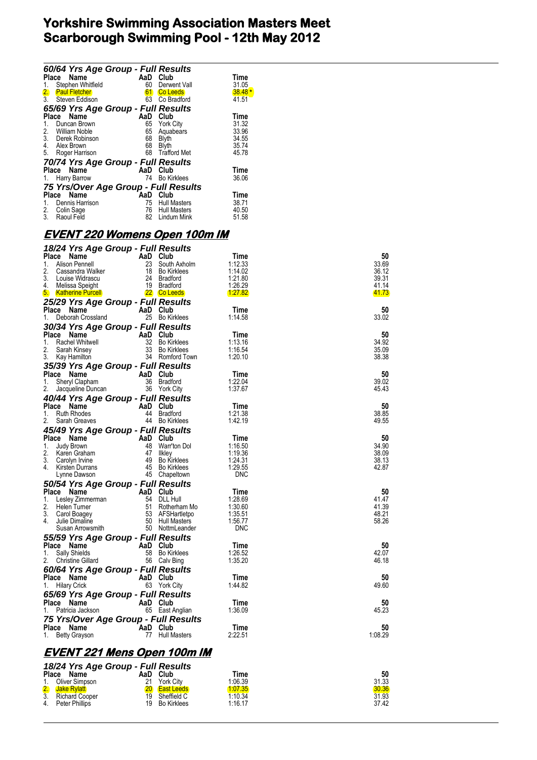|                  | 60/64 Yrs Age Group - Full Results   |          |                     |             |
|------------------|--------------------------------------|----------|---------------------|-------------|
| <b>Place</b>     | Name                                 | AaD Club |                     | Time        |
| 1.               | Stephen Whitfield                    | 60       | Derwent Vall        | 31.05       |
| 2.               | <b>Paul Fletcher</b>                 | 61       | <b>Co Leeds</b>     | $38.48*$    |
| $\overline{3}$ . | Steven Eddison                       | 63       | Co Bradford         | 41.51       |
|                  | 65/69 Yrs Age Group - Full Results   |          |                     |             |
| <b>Place</b>     | <b>Name</b>                          | AaD      | Club                | Time        |
| 1.               | Duncan Brown                         |          | 65 York City        | 31.32       |
| 2.               | William Noble                        | 65       | Aquabears           | 33.96       |
|                  | 3. Derek Robinson                    | 68       | <b>Blyth</b>        | 34.55       |
| 4.               | Alex Brown                           | 68       | <b>Blyth</b>        | 35.74       |
| 5.               | Roger Harrison                       | 68       | <b>Trafford Met</b> | 45.78       |
|                  | 70/74 Yrs Age Group - Full Results   |          |                     |             |
|                  | Name<br>Place                        | AaD      | Club                | <b>Time</b> |
|                  | Harry Barrow                         | 74       | <b>Bo Kirklees</b>  | 36.06       |
|                  | 75 Yrs/Over Age Group - Full Results |          |                     |             |
|                  | Name<br>Place                        | AaD      | Club                | <b>Time</b> |
| 1.               | Dennis Harrison                      | 75       | <b>Hull Masters</b> | 38.71       |
| 2.               | Colin Sage                           |          | 76 Hull Masters     | 40.50       |
| 3.               | Raoul Feld                           | 82       | Lindum Mink         | 51.58       |

### **EVENT 220 Womens Open 100m IM**

| 18/24 Yrs Age Group - Full Results   |          |                 |                 |         |
|--------------------------------------|----------|-----------------|-----------------|---------|
| Place Name                           | AaD Club |                 | Time            | 50      |
| 1.<br>Alison Pennell                 |          | 23 South Axholm | 1:12.33         | 33.69   |
| 2.<br>Cassandra Walker               |          | 18 Bo Kirklees  | 1:14.02         | 36.12   |
| 3.<br>Louise Widrascu                |          | 24 Bradford     | 1:21.80         | 39.31   |
| 4.<br>Melissa Speight                |          | 19 Bradford     | 1:26.29         | 41.14   |
| 5. Katherine Purcell                 |          | 22 Co Leeds     | <u> 1:27.82</u> | 41.73   |
| 25/29 Yrs Age Group - Full Results   |          |                 |                 |         |
| Place Name                           | AaD Club |                 | Time            | 50      |
| Deborah Crossland<br>1.              |          | 25 Bo Kirklees  | 1:14.58         | 33.02   |
| 30/34 Yrs Age Group - Full Results   |          |                 |                 |         |
| Place Name                           | AaD Club |                 | Time            | 50      |
| 1.<br>Rachel Whitwell                |          | 32 Bo Kirklees  | 1:13.16         | 34.92   |
| 2.<br>Sarah Kinsey                   |          | 33 Bo Kirklees  | 1:16.54         | 35.09   |
| 3. Kay Hamilton                      |          | 34 Romford Town | 1:20.10         | 38.38   |
| 35/39 Yrs Age Group - Full Results   |          |                 |                 |         |
| Place Name                           | AaD Club |                 | Time            | 50      |
| 1.<br>Sheryl Clapham                 |          | 36 Bradford     | 1:22.04         | 39.02   |
| 2.<br>Jacqueline Duncan              |          | 36 York City    | 1:37.67         | 45.43   |
| 40/44 Yrs Age Group - Full Results   |          |                 |                 |         |
| Place Name                           | AaD Club |                 | Time            | 50      |
| 1.<br><b>Ruth Rhodes</b>             |          | 44 Bradford     | 1:21.38         | 38.85   |
| 2.<br>Sarah Greaves                  |          | 44 Bo Kirklees  | 1:42.19         | 49.55   |
| 45/49 Yrs Age Group - Full Results   |          |                 |                 |         |
| Place Name                           | AaD Club |                 | Time            | 50      |
| 1.<br>Judy Brown                     |          | 48 Warr'ton Dol | 1:16.50         | 34.90   |
| 2.<br>Karen Graham                   | 47       | <b>Ilkley</b>   | 1:19.36         | 38.09   |
| 3.<br>Carolyn Irvine                 |          | 49 Bo Kirklees  | 1:24.31         | 38.13   |
| 4.<br>Kirsten Durrans                |          | 45 Bo Kirklees  | 1:29.55         | 42.87   |
| Lynne Dawson                         |          | 45 Chapeltown   | DNC             |         |
| 50/54 Yrs Age Group - Full Results   |          |                 |                 |         |
| Place Name                           | AaD Club |                 | Time            | 50      |
| 1.<br>Lesley Zimmerman               |          | 54 DLL Hull     | 1:28.69         | 41.47   |
| 2.<br>Helen Turner                   |          | 51 Rotherham Mo | 1:30.60         | 41.39   |
| 3.<br>Carol Boagey                   |          | 53 AFSHartletpo | 1:35.51         | 48.21   |
| 4.<br>Julie Dimaline                 |          | 50 Hull Masters | 1:56.77<br>DNC  | 58.26   |
| Susan Arrowsmith                     |          | 50 NottmLeander |                 |         |
| 55/59 Yrs Age Group - Full Results   |          |                 |                 |         |
| Place Name                           | AaD Club |                 | Time            | 50      |
| 1.<br>Sally Shields                  |          | 58 Bo Kirklees  | 1:26.52         | 42.07   |
| 2.<br>Christine Gillard              |          | 56 Calv Bing    | 1:35.20         | 46.18   |
| 60/64 Yrs Age Group - Full Results   |          |                 |                 |         |
| Place Name                           | AaD Club |                 | Time            | 50      |
| <b>Hilary Crick</b><br>1.            |          | 63 York City    | 1:44.82         | 49.60   |
| 65/69 Yrs Age Group - Full Results   |          |                 |                 |         |
| Place Name                           | AaD Club |                 | Time            | 50      |
| 1.<br>Patricia Jackson               |          | 65 East Anglian | 1:36.09         | 45.23   |
| 75 Yrs/Over Age Group - Full Results |          |                 |                 |         |
| Place Name                           | AaD Club |                 | Time            | 50      |
| 1.<br>Betty Grayson                  |          | 77 Hull Masters | 2:22.51         | 1:08.29 |
| EI/ENIT 221 Mape Open 100m IM        |          |                 |                 |         |

#### **EVENT 221 Mens Open 100m IM**

| <b>Place</b> | 18/24 Yrs Age Group - Full Results<br>Name | AaD | Club          | Time    | 50    |
|--------------|--------------------------------------------|-----|---------------|---------|-------|
| $1_{-}$      | Oliver Simpson                             | 21  | York City     | 1:06.39 | 31.33 |
|              | 2. Jake Rylatt<br>3. Richard Coc           |     | 20 East Leeds | 1.07.35 | 30.36 |
|              | <b>Richard Cooper</b>                      | 19  | Sheffield C   | 1:10.34 | 31.93 |
| 4.           | Peter Phillips                             | 19  | Bo Kirklees   | 1:16.17 | 37.42 |